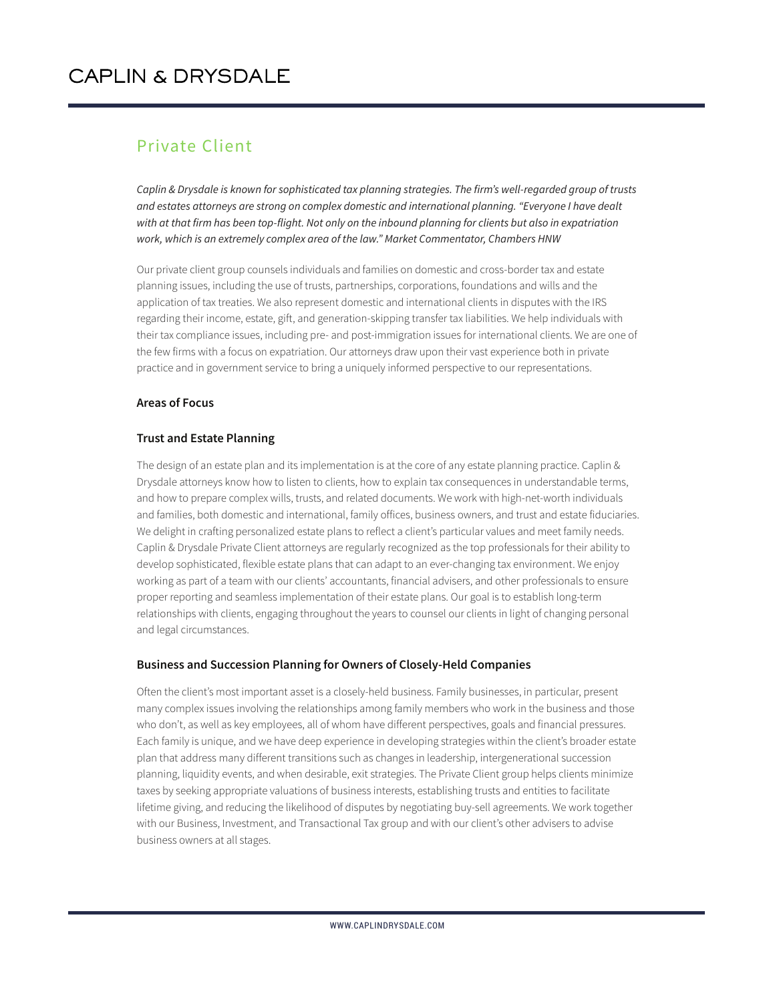#### Private Client

*Caplin & Drysdale is known for sophisticated tax planning strategies. The firm's well-regarded group of trusts and estates attorneys are strong on complex domestic and international planning. "Everyone I have dealt with at that firm has been top-flight. Not only on the inbound planning for clients but also in expatriation work, which is an extremely complex area of the law." Market Commentator, Chambers HNW*

Our private client group counsels individuals and families on domestic and cross-border tax and estate planning issues, including the use of trusts, partnerships, corporations, foundations and wills and the application of tax treaties. We also represent domestic and international clients in disputes with the IRS regarding their income, estate, gift, and generation-skipping transfer tax liabilities. We help individuals with their tax compliance issues, including pre- and post-immigration issues for international clients. We are one of the few firms with a focus on expatriation. Our attorneys draw upon their vast experience both in private practice and in government service to bring a uniquely informed perspective to our representations.

#### **Areas of Focus**

#### **Trust and Estate Planning**

The design of an estate plan and its implementation is at the core of any estate planning practice. Caplin & Drysdale attorneys know how to listen to clients, how to explain tax consequences in understandable terms, and how to prepare complex wills, trusts, and related documents. We work with high-net-worth individuals and families, both domestic and international, family offices, business owners, and trust and estate fiduciaries. We delight in crafting personalized estate plans to reflect a client's particular values and meet family needs. Caplin & Drysdale Private Client attorneys are regularly recognized as the top professionals for their ability to develop sophisticated, flexible estate plans that can adapt to an ever-changing tax environment. We enjoy working as part of a team with our clients' accountants, financial advisers, and other professionals to ensure proper reporting and seamless implementation of their estate plans. Our goal is to establish long-term relationships with clients, engaging throughout the years to counsel our clients in light of changing personal and legal circumstances.

#### **Business and Succession Planning for Owners of Closely-Held Companies**

Often the client's most important asset is a closely-held business. Family businesses, in particular, present many complex issues involving the relationships among family members who work in the business and those who don't, as well as key employees, all of whom have different perspectives, goals and financial pressures. Each family is unique, and we have deep experience in developing strategies within the client's broader estate plan that address many different transitions such as changes in leadership, intergenerational succession planning, liquidity events, and when desirable, exit strategies. The Private Client group helps clients minimize taxes by seeking appropriate valuations of business interests, establishing trusts and entities to facilitate lifetime giving, and reducing the likelihood of disputes by negotiating buy-sell agreements. We work together with our Business, Investment, and Transactional Tax group and with our client's other advisers to advise business owners at all stages.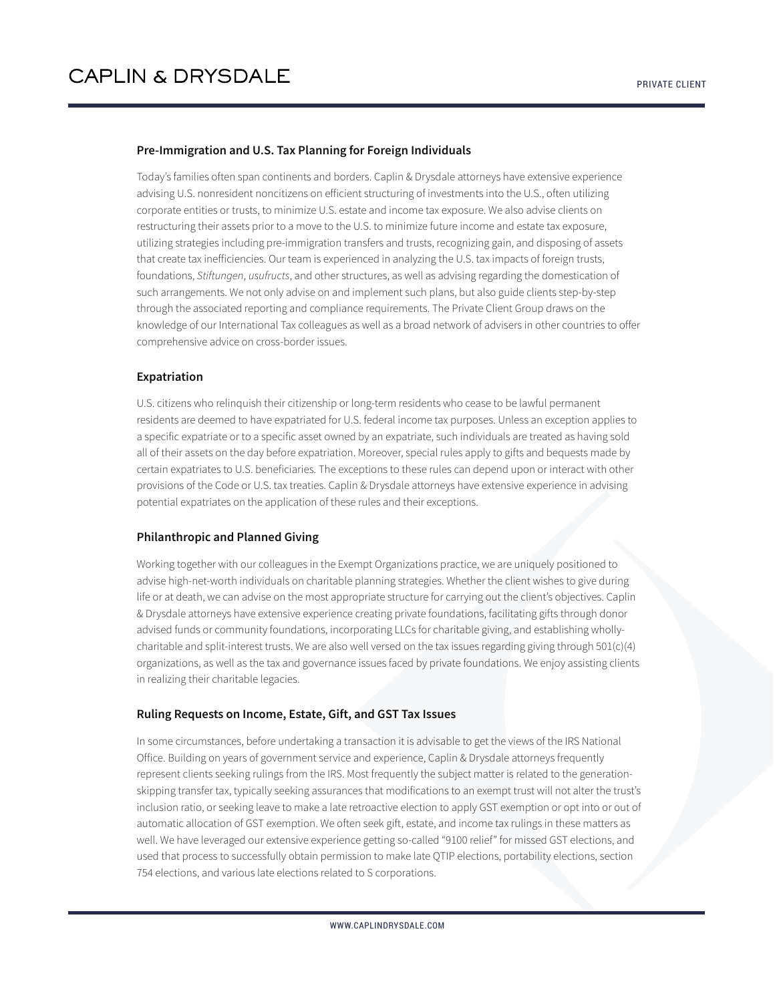#### **Pre-Immigration and U.S. Tax Planning for Foreign Individuals**

Today's families often span continents and borders. Caplin & Drysdale attorneys have extensive experience advising U.S. nonresident noncitizens on efficient structuring of investments into the U.S., often utilizing corporate entities or trusts, to minimize U.S. estate and income tax exposure. We also advise clients on restructuring their assets prior to a move to the U.S. to minimize future income and estate tax exposure, utilizing strategies including pre-immigration transfers and trusts, recognizing gain, and disposing of assets that create tax inefficiencies. Our team is experienced in analyzing the U.S. tax impacts of foreign trusts, foundations, *Stiftungen*, *usufructs*, and other structures, as well as advising regarding the domestication of such arrangements. We not only advise on and implement such plans, but also guide clients step-by-step through the associated reporting and compliance requirements. The Private Client Group draws on the knowledge of our International Tax colleagues as well as a broad network of advisers in other countries to offer comprehensive advice on cross-border issues.

#### **Expatriation**

U.S. citizens who relinquish their citizenship or long-term residents who cease to be lawful permanent residents are deemed to have expatriated for U.S. federal income tax purposes. Unless an exception applies to a specific expatriate or to a specific asset owned by an expatriate, such individuals are treated as having sold all of their assets on the day before expatriation. Moreover, special rules apply to gifts and bequests made by certain expatriates to U.S. beneficiaries. The exceptions to these rules can depend upon or interact with other provisions of the Code or U.S. tax treaties. Caplin & Drysdale attorneys have extensive experience in advising potential expatriates on the application of these rules and their exceptions.

#### **Philanthropic and Planned Giving**

Working together with our colleagues in the Exempt Organizations practice, we are uniquely positioned to advise high-net-worth individuals on charitable planning strategies. Whether the client wishes to give during life or at death, we can advise on the most appropriate structure for carrying out the client's objectives. Caplin & Drysdale attorneys have extensive experience creating private foundations, facilitating gifts through donor advised funds or community foundations, incorporating LLCs for charitable giving, and establishing whollycharitable and split-interest trusts. We are also well versed on the tax issues regarding giving through  $501(c)(4)$ organizations, as well as the tax and governance issues faced by private foundations. We enjoy assisting clients in realizing their charitable legacies.

#### **Ruling Requests on Income, Estate, Gift, and GST Tax Issues**

In some circumstances, before undertaking a transaction it is advisable to get the views of the IRS National Office. Building on years of government service and experience, Caplin & Drysdale attorneys frequently represent clients seeking rulings from the IRS. Most frequently the subject matter is related to the generationskipping transfer tax, typically seeking assurances that modifications to an exempt trust will not alter the trust's inclusion ratio, or seeking leave to make a late retroactive election to apply GST exemption or opt into or out of automatic allocation of GST exemption. We often seek gift, estate, and income tax rulings in these matters as well. We have leveraged our extensive experience getting so-called "9100 relief" for missed GST elections, and used that process to successfully obtain permission to make late QTIP elections, portability elections, section 754 elections, and various late elections related to S corporations.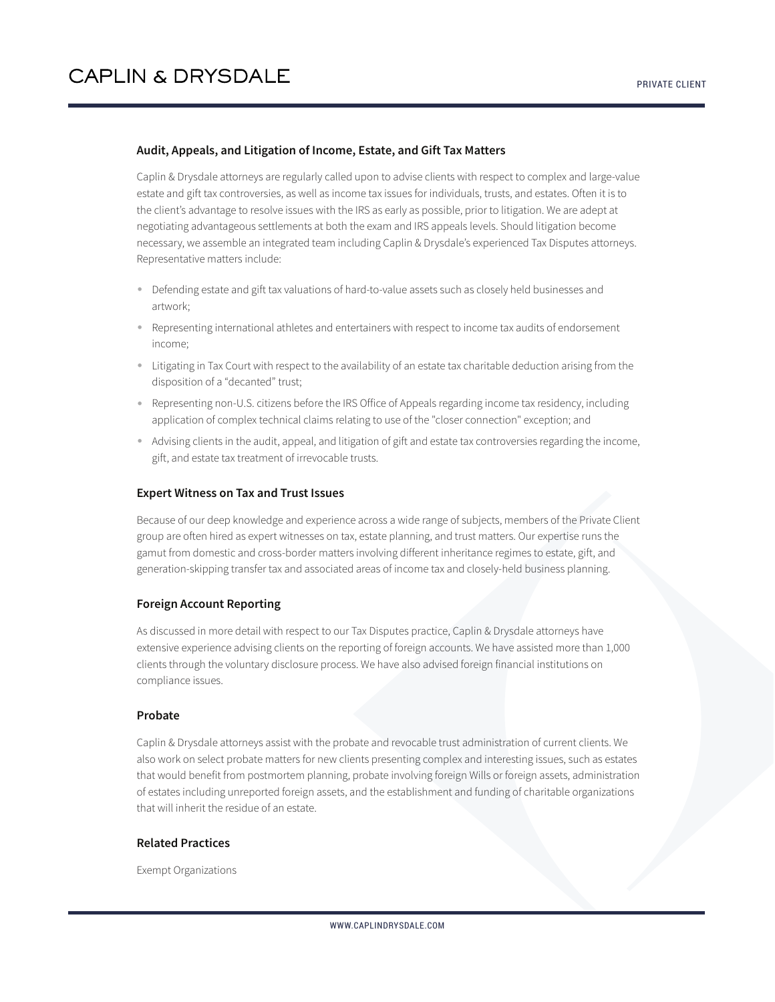#### **Audit, Appeals, and Litigation of Income, Estate, and Gift Tax Matters**

Caplin & Drysdale attorneys are regularly called upon to advise clients with respect to complex and large-value estate and gift tax controversies, as well as income tax issues for individuals, trusts, and estates. Often it is to the client's advantage to resolve issues with the IRS as early as possible, prior to litigation. We are adept at negotiating advantageous settlements at both the exam and IRS appeals levels. Should litigation become necessary, we assemble an integrated team including Caplin & Drysdale's experienced Tax Disputes attorneys. Representative matters include:

- Defending estate and gift tax valuations of hard-to-value assets such as closely held businesses and artwork;
- Representing international athletes and entertainers with respect to income tax audits of endorsement income;
- Litigating in Tax Court with respect to the availability of an estate tax charitable deduction arising from the disposition of a "decanted" trust;
- Representing non-U.S. citizens before the IRS Office of Appeals regarding income tax residency, including application of complex technical claims relating to use of the "closer connection" exception; and
- Advising clients in the audit, appeal, and litigation of gift and estate tax controversies regarding the income, gift, and estate tax treatment of irrevocable trusts.

#### **Expert Witness on Tax and Trust Issues**

Because of our deep knowledge and experience across a wide range of subjects, members of the Private Client group are often hired as expert witnesses on tax, estate planning, and trust matters. Our expertise runs the gamut from domestic and cross-border matters involving different inheritance regimes to estate, gift, and generation-skipping transfer tax and associated areas of income tax and closely-held business planning.

#### **Foreign Account Reporting**

As discussed in more detail with respect to our Tax Disputes practice, Caplin & Drysdale attorneys have extensive experience advising clients on the reporting of foreign accounts. We have assisted more than 1,000 clients through the voluntary disclosure process. We have also advised foreign financial institutions on compliance issues.

#### **Probate**

Caplin & Drysdale attorneys assist with the probate and revocable trust administration of current clients. We also work on select probate matters for new clients presenting complex and interesting issues, such as estates that would benefit from postmortem planning, probate involving foreign Wills or foreign assets, administration of estates including unreported foreign assets, and the establishment and funding of charitable organizations that will inherit the residue of an estate.

#### **Related Practices**

Exempt Organizations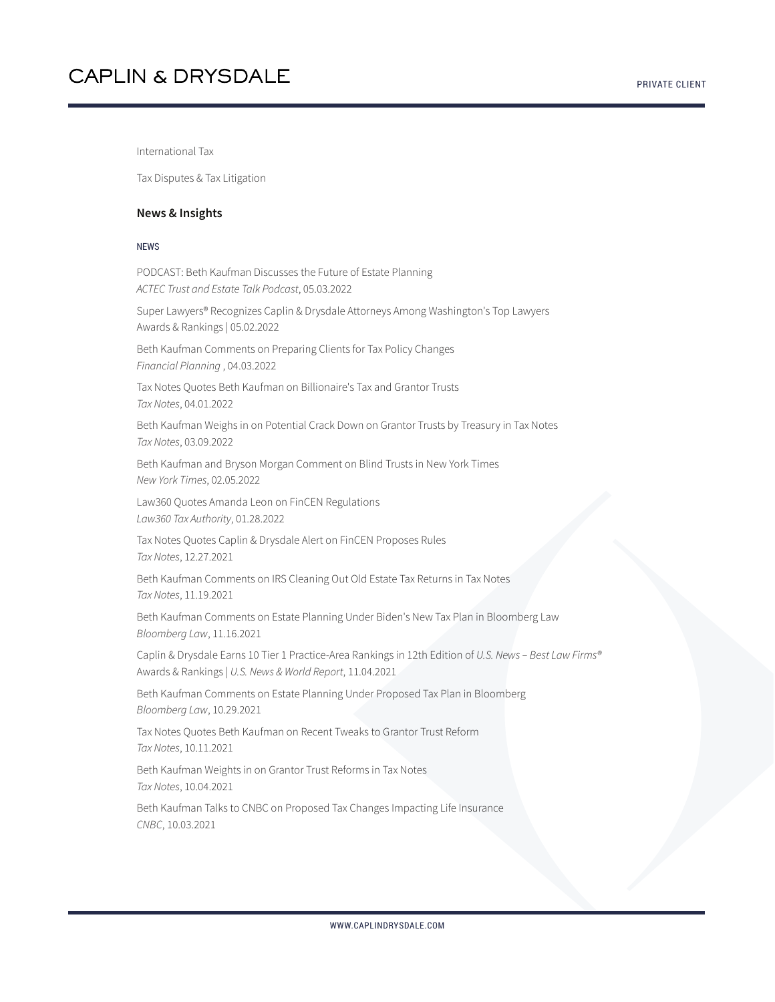International Tax

Tax Disputes & Tax Litigation

#### **News & Insights**

#### NEWS

PODCAST: Beth Kaufman Discusses the Future of Estate Planning *ACTEC Trust and Estate Talk Podcast*, 05.03.2022

Super Lawyers® Recognizes Caplin & Drysdale Attorneys Among Washington's Top Lawyers Awards & Rankings | 05.02.2022

Beth Kaufman Comments on Preparing Clients for Tax Policy Changes *Financial Planning* , 04.03.2022

Tax Notes Quotes Beth Kaufman on Billionaire's Tax and Grantor Trusts *Tax Notes*, 04.01.2022

Beth Kaufman Weighs in on Potential Crack Down on Grantor Trusts by Treasury in Tax Notes *Tax Notes*, 03.09.2022

Beth Kaufman and Bryson Morgan Comment on Blind Trusts in New York Times *New York Times*, 02.05.2022

Law360 Quotes Amanda Leon on FinCEN Regulations *Law360 Tax Authority*, 01.28.2022

Tax Notes Quotes Caplin & Drysdale Alert on FinCEN Proposes Rules *Tax Notes*, 12.27.2021

Beth Kaufman Comments on IRS Cleaning Out Old Estate Tax Returns in Tax Notes *Tax Notes*, 11.19.2021

Beth Kaufman Comments on Estate Planning Under Biden's New Tax Plan in Bloomberg Law *Bloomberg Law*, 11.16.2021

Caplin & Drysdale Earns 10 Tier 1 Practice-Area Rankings in 12th Edition of *U.S. News – Best Law Firms®* Awards & Rankings | *U.S. News & World Report*, 11.04.2021

Beth Kaufman Comments on Estate Planning Under Proposed Tax Plan in Bloomberg *Bloomberg Law*, 10.29.2021

Tax Notes Quotes Beth Kaufman on Recent Tweaks to Grantor Trust Reform *Tax Notes*, 10.11.2021

Beth Kaufman Weights in on Grantor Trust Reforms in Tax Notes *Tax Notes*, 10.04.2021

Beth Kaufman Talks to CNBC on Proposed Tax Changes Impacting Life Insurance *CNBC*, 10.03.2021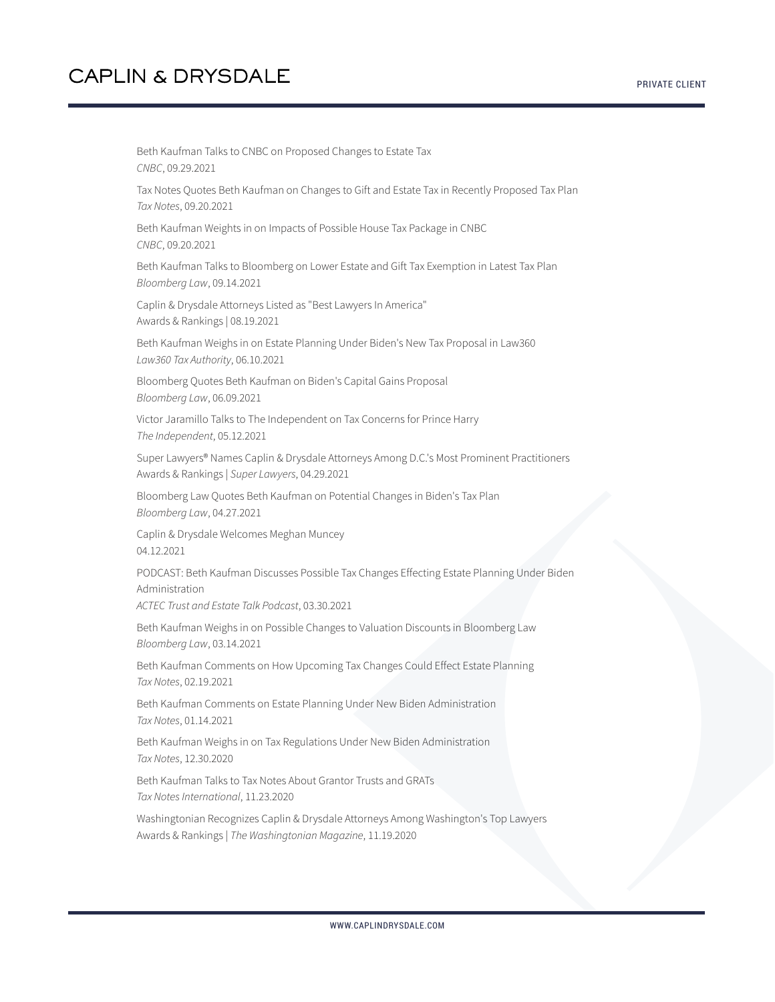Beth Kaufman Talks to CNBC on Proposed Changes to Estate Tax *CNBC*, 09.29.2021 Tax Notes Quotes Beth Kaufman on Changes to Gift and Estate Tax in Recently Proposed Tax Plan *Tax Notes*, 09.20.2021 Beth Kaufman Weights in on Impacts of Possible House Tax Package in CNBC *CNBC*, 09.20.2021 Beth Kaufman Talks to Bloomberg on Lower Estate and Gift Tax Exemption in Latest Tax Plan *Bloomberg Law*, 09.14.2021 Caplin & Drysdale Attorneys Listed as "Best Lawyers In America" Awards & Rankings | 08.19.2021 Beth Kaufman Weighs in on Estate Planning Under Biden's New Tax Proposal in Law360 *Law360 Tax Authority*, 06.10.2021 Bloomberg Quotes Beth Kaufman on Biden's Capital Gains Proposal *Bloomberg Law*, 06.09.2021 Victor Jaramillo Talks to The Independent on Tax Concerns for Prince Harry *The Independent*, 05.12.2021 Super Lawyers® Names Caplin & Drysdale Attorneys Among D.C.'s Most Prominent Practitioners Awards & Rankings | *Super Lawyers*, 04.29.2021 Bloomberg Law Quotes Beth Kaufman on Potential Changes in Biden's Tax Plan *Bloomberg Law*, 04.27.2021 Caplin & Drysdale Welcomes Meghan Muncey 04.12.2021 PODCAST: Beth Kaufman Discusses Possible Tax Changes Effecting Estate Planning Under Biden Administration *ACTEC Trust and Estate Talk Podcast*, 03.30.2021 Beth Kaufman Weighs in on Possible Changes to Valuation Discounts in Bloomberg Law *Bloomberg Law*, 03.14.2021 Beth Kaufman Comments on How Upcoming Tax Changes Could Effect Estate Planning *Tax Notes*, 02.19.2021 Beth Kaufman Comments on Estate Planning Under New Biden Administration *Tax Notes*, 01.14.2021 Beth Kaufman Weighs in on Tax Regulations Under New Biden Administration *Tax Notes*, 12.30.2020 Beth Kaufman Talks to Tax Notes About Grantor Trusts and GRATs *Tax Notes International*, 11.23.2020 Washingtonian Recognizes Caplin & Drysdale Attorneys Among Washington's Top Lawyers Awards & Rankings | *The Washingtonian Magazine*, 11.19.2020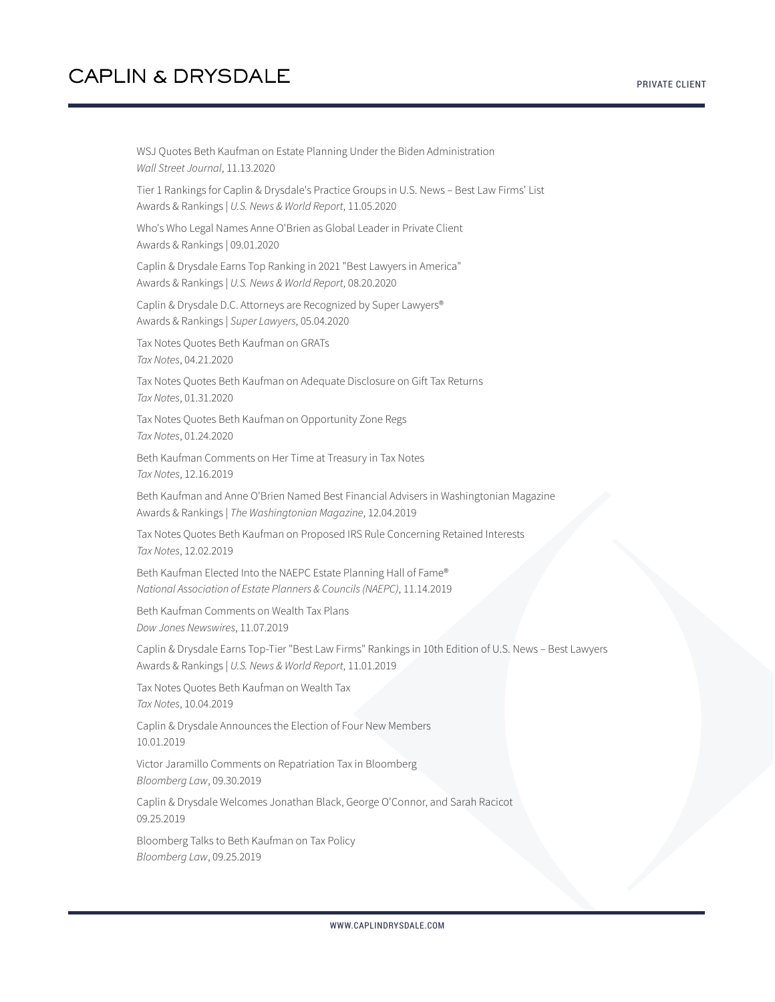WSJ Quotes Beth Kaufman on Estate Planning Under the Biden Administration *Wall Street Journal*, 11.13.2020 Tier 1 Rankings for Caplin & Drysdale's Practice Groups in U.S. News – Best Law Firms' List Awards & Rankings | *U.S. News & World Report*, 11.05.2020 Who's Who Legal Names Anne O'Brien as Global Leader in Private Client Awards & Rankings | 09.01.2020 Caplin & Drysdale Earns Top Ranking in 2021 "Best Lawyers in America" Awards & Rankings | *U.S. News & World Report*, 08.20.2020 Caplin & Drysdale D.C. Attorneys are Recognized by Super Lawyers® Awards & Rankings | *Super Lawyers*, 05.04.2020 Tax Notes Quotes Beth Kaufman on GRATs *Tax Notes*, 04.21.2020 Tax Notes Quotes Beth Kaufman on Adequate Disclosure on Gift Tax Returns *Tax Notes*, 01.31.2020 Tax Notes Quotes Beth Kaufman on Opportunity Zone Regs *Tax Notes*, 01.24.2020 Beth Kaufman Comments on Her Time at Treasury in Tax Notes *Tax Notes*, 12.16.2019 Beth Kaufman and Anne O'Brien Named Best Financial Advisers in Washingtonian Magazine Awards & Rankings | *The Washingtonian Magazine*, 12.04.2019 Tax Notes Quotes Beth Kaufman on Proposed IRS Rule Concerning Retained Interests *Tax Notes*, 12.02.2019 Beth Kaufman Elected Into the NAEPC Estate Planning Hall of Fame® *National Association of Estate Planners & Councils (NAEPC)*, 11.14.2019 Beth Kaufman Comments on Wealth Tax Plans *Dow Jones Newswires*, 11.07.2019 Caplin & Drysdale Earns Top-Tier "Best Law Firms" Rankings in 10th Edition of U.S. News – Best Lawyers Awards & Rankings | *U.S. News & World Report*, 11.01.2019 Tax Notes Quotes Beth Kaufman on Wealth Tax *Tax Notes*, 10.04.2019 Caplin & Drysdale Announces the Election of Four New Members 10.01.2019 Victor Jaramillo Comments on Repatriation Tax in Bloomberg *Bloomberg Law*, 09.30.2019 Caplin & Drysdale Welcomes Jonathan Black, George O'Connor, and Sarah Racicot 09.25.2019 Bloomberg Talks to Beth Kaufman on Tax Policy *Bloomberg Law*, 09.25.2019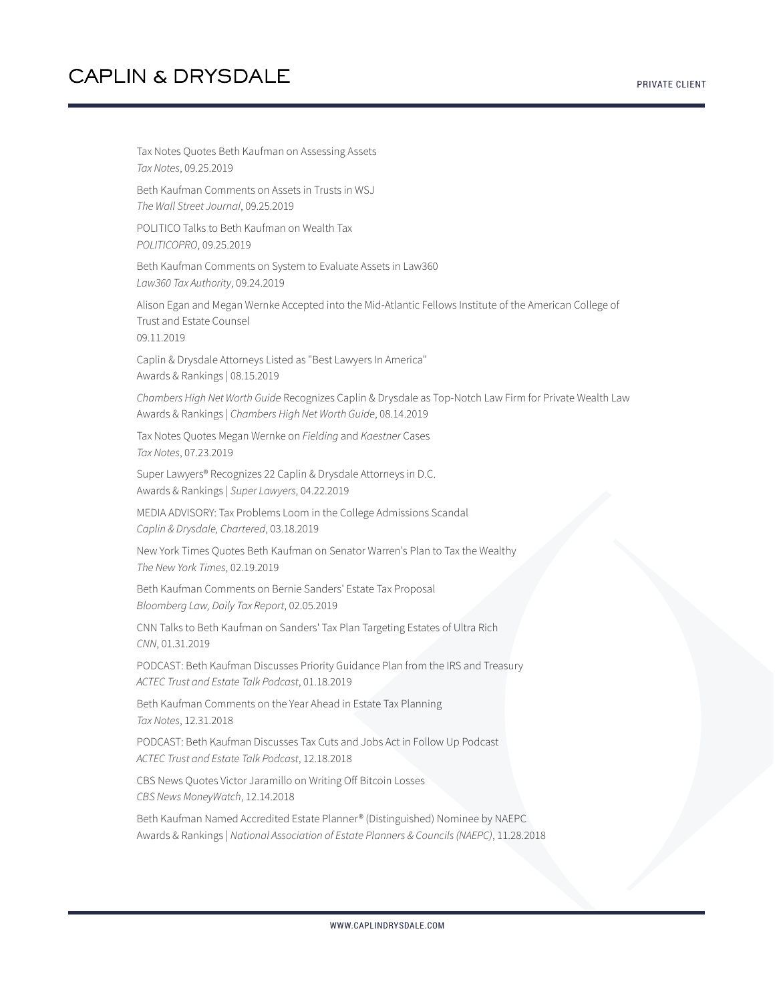Tax Notes Quotes Beth Kaufman on Assessing Assets *Tax Notes*, 09.25.2019 Beth Kaufman Comments on Assets in Trusts in WSJ *The Wall Street Journal*, 09.25.2019 POLITICO Talks to Beth Kaufman on Wealth Tax *POLITICOPRO*, 09.25.2019 Beth Kaufman Comments on System to Evaluate Assets in Law360 *Law360 Tax Authority*, 09.24.2019 Alison Egan and Megan Wernke Accepted into the Mid-Atlantic Fellows Institute of the American College of Trust and Estate Counsel 09.11.2019 Caplin & Drysdale Attorneys Listed as "Best Lawyers In America" Awards & Rankings | 08.15.2019 *Chambers High Net Worth Guide* Recognizes Caplin & Drysdale as Top-Notch Law Firm for Private Wealth Law Awards & Rankings | *Chambers High Net Worth Guide*, 08.14.2019 Tax Notes Quotes Megan Wernke on *Fielding* and *Kaestner* Cases *Tax Notes*, 07.23.2019 Super Lawyers® Recognizes 22 Caplin & Drysdale Attorneys in D.C. Awards & Rankings | *Super Lawyers*, 04.22.2019 MEDIA ADVISORY: Tax Problems Loom in the College Admissions Scandal *Caplin & Drysdale, Chartered*, 03.18.2019 New York Times Quotes Beth Kaufman on Senator Warren's Plan to Tax the Wealthy *The New York Times*, 02.19.2019 Beth Kaufman Comments on Bernie Sanders' Estate Tax Proposal *Bloomberg Law, Daily Tax Report*, 02.05.2019 CNN Talks to Beth Kaufman on Sanders' Tax Plan Targeting Estates of Ultra Rich *CNN*, 01.31.2019 PODCAST: Beth Kaufman Discusses Priority Guidance Plan from the IRS and Treasury *ACTEC Trust and Estate Talk Podcast*, 01.18.2019 Beth Kaufman Comments on the Year Ahead in Estate Tax Planning *Tax Notes*, 12.31.2018 PODCAST: Beth Kaufman Discusses Tax Cuts and Jobs Act in Follow Up Podcast *ACTEC Trust and Estate Talk Podcast*, 12.18.2018 CBS News Quotes Victor Jaramillo on Writing Off Bitcoin Losses *CBS News MoneyWatch*, 12.14.2018 Beth Kaufman Named Accredited Estate Planner® (Distinguished) Nominee by NAEPC Awards & Rankings | *National Association of Estate Planners & Councils (NAEPC)*, 11.28.2018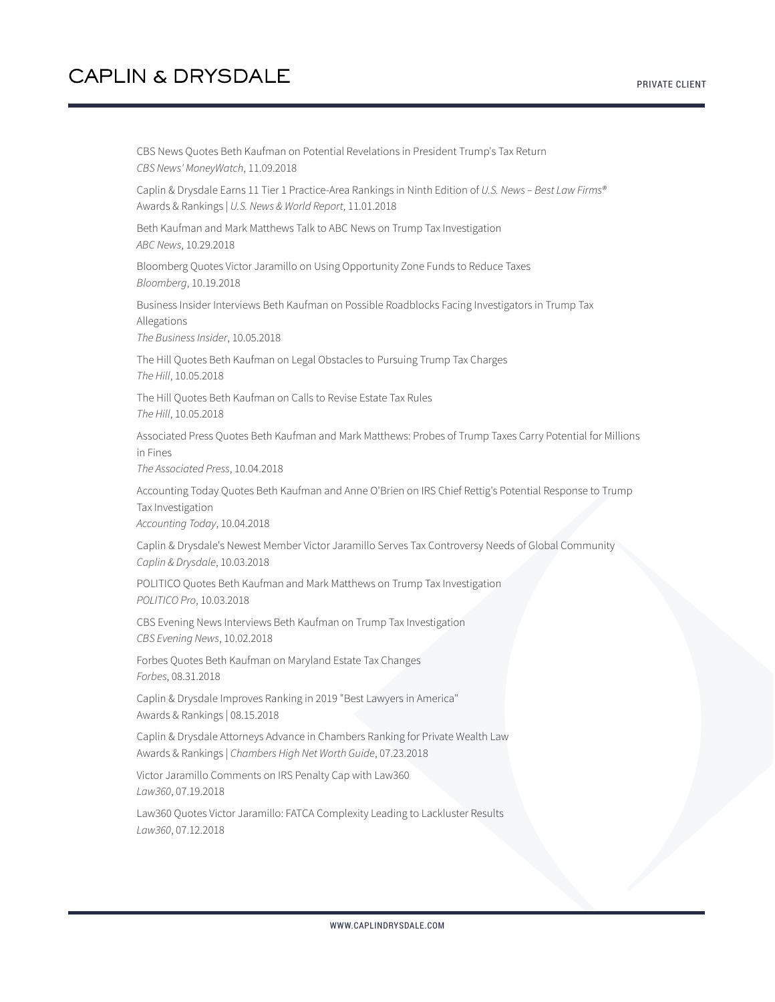CBS News Quotes Beth Kaufman on Potential Revelations in President Trump's Tax Return *CBS News' MoneyWatch*, 11.09.2018 Caplin & Drysdale Earns 11 Tier 1 Practice-Area Rankings in Ninth Edition of *U.S. News – Best Law Firms®* Awards & Rankings | *U.S. News & World Report*, 11.01.2018 Beth Kaufman and Mark Matthews Talk to ABC News on Trump Tax Investigation *ABC News*, 10.29.2018 Bloomberg Quotes Victor Jaramillo on Using Opportunity Zone Funds to Reduce Taxes *Bloomberg*, 10.19.2018 Business Insider Interviews Beth Kaufman on Possible Roadblocks Facing Investigators in Trump Tax Allegations *The Business Insider*, 10.05.2018 The Hill Quotes Beth Kaufman on Legal Obstacles to Pursuing Trump Tax Charges *The Hill*, 10.05.2018 The Hill Quotes Beth Kaufman on Calls to Revise Estate Tax Rules *The Hill*, 10.05.2018 Associated Press Quotes Beth Kaufman and Mark Matthews: Probes of Trump Taxes Carry Potential for Millions in Fines *The Associated Press*, 10.04.2018 Accounting Today Quotes Beth Kaufman and Anne O'Brien on IRS Chief Rettig's Potential Response to Trump Tax Investigation *Accounting Today*, 10.04.2018 Caplin & Drysdale's Newest Member Victor Jaramillo Serves Tax Controversy Needs of Global Community *Caplin & Drysdale*, 10.03.2018 POLITICO Quotes Beth Kaufman and Mark Matthews on Trump Tax Investigation *POLITICO Pro*, 10.03.2018 CBS Evening News Interviews Beth Kaufman on Trump Tax Investigation *CBS Evening News*, 10.02.2018 Forbes Quotes Beth Kaufman on Maryland Estate Tax Changes *Forbes*, 08.31.2018 Caplin & Drysdale Improves Ranking in 2019 "Best Lawyers in America" Awards & Rankings | 08.15.2018 Caplin & Drysdale Attorneys Advance in Chambers Ranking for Private Wealth Law Awards & Rankings | *Chambers High Net Worth Guide*, 07.23.2018 Victor Jaramillo Comments on IRS Penalty Cap with Law360 *Law360*, 07.19.2018 Law360 Quotes Victor Jaramillo: FATCA Complexity Leading to Lackluster Results

*Law360*, 07.12.2018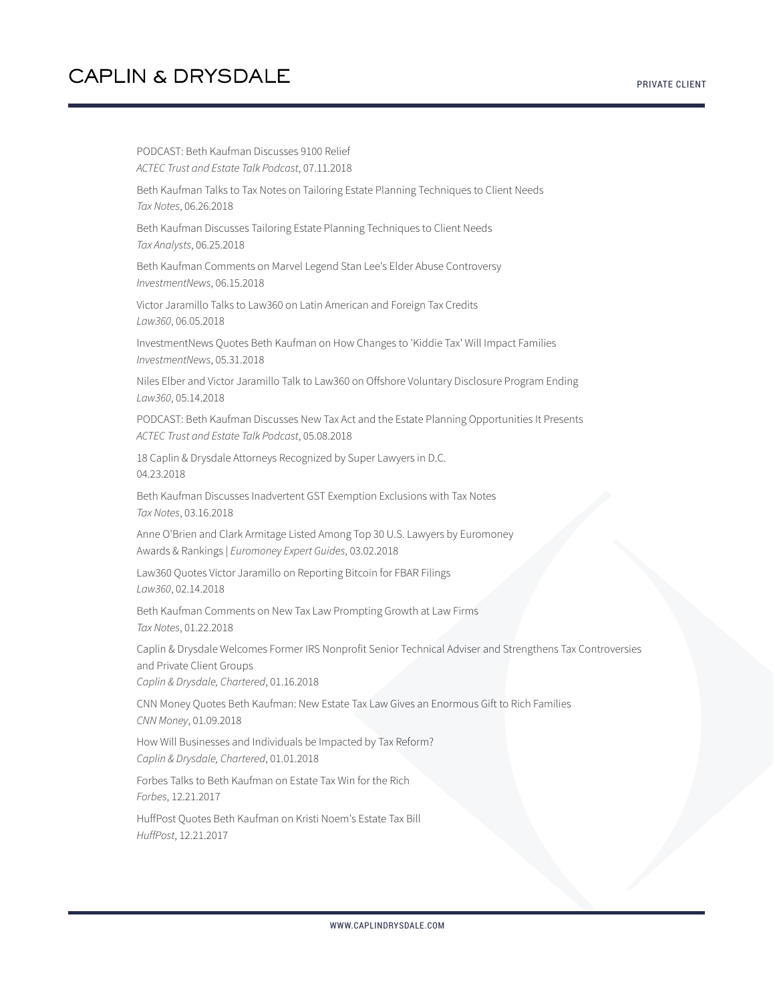PODCAST: Beth Kaufman Discusses 9100 Relief *ACTEC Trust and Estate Talk Podcast*, 07.11.2018 Beth Kaufman Talks to Tax Notes on Tailoring Estate Planning Techniques to Client Needs *Tax Notes*, 06.26.2018 Beth Kaufman Discusses Tailoring Estate Planning Techniques to Client Needs *Tax Analysts*, 06.25.2018 Beth Kaufman Comments on Marvel Legend Stan Lee's Elder Abuse Controversy *InvestmentNews*, 06.15.2018 Victor Jaramillo Talks to Law360 on Latin American and Foreign Tax Credits *Law360*, 06.05.2018 InvestmentNews Quotes Beth Kaufman on How Changes to 'Kiddie Tax' Will Impact Families *InvestmentNews*, 05.31.2018 Niles Elber and Victor Jaramillo Talk to Law360 on Offshore Voluntary Disclosure Program Ending *Law360*, 05.14.2018 PODCAST: Beth Kaufman Discusses New Tax Act and the Estate Planning Opportunities It Presents *ACTEC Trust and Estate Talk Podcast*, 05.08.2018 18 Caplin & Drysdale Attorneys Recognized by Super Lawyers in D.C. 04.23.2018 Beth Kaufman Discusses Inadvertent GST Exemption Exclusions with Tax Notes *Tax Notes*, 03.16.2018 Anne O'Brien and Clark Armitage Listed Among Top 30 U.S. Lawyers by Euromoney Awards & Rankings | *Euromoney Expert Guides*, 03.02.2018 Law360 Quotes Victor Jaramillo on Reporting Bitcoin for FBAR Filings *Law360*, 02.14.2018 Beth Kaufman Comments on New Tax Law Prompting Growth at Law Firms *Tax Notes*, 01.22.2018 Caplin & Drysdale Welcomes Former IRS Nonprofit Senior Technical Adviser and Strengthens Tax Controversies and Private Client Groups *Caplin & Drysdale, Chartered*, 01.16.2018 CNN Money Quotes Beth Kaufman: New Estate Tax Law Gives an Enormous Gift to Rich Families *CNN Money*, 01.09.2018 How Will Businesses and Individuals be Impacted by Tax Reform? *Caplin & Drysdale, Chartered*, 01.01.2018 Forbes Talks to Beth Kaufman on Estate Tax Win for the Rich *Forbes*, 12.21.2017 HuffPost Quotes Beth Kaufman on Kristi Noem's Estate Tax Bill *HuffPost*, 12.21.2017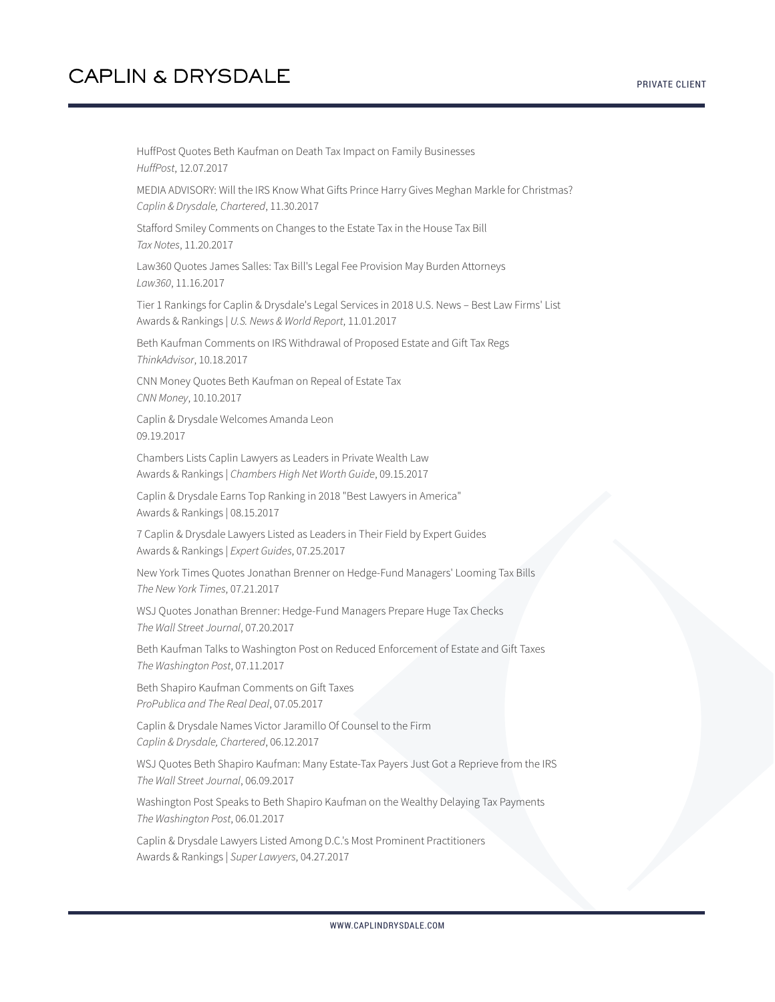HuffPost Quotes Beth Kaufman on Death Tax Impact on Family Businesses *HuffPost*, 12.07.2017 MEDIA ADVISORY: Will the IRS Know What Gifts Prince Harry Gives Meghan Markle for Christmas? *Caplin & Drysdale, Chartered*, 11.30.2017 Stafford Smiley Comments on Changes to the Estate Tax in the House Tax Bill *Tax Notes*, 11.20.2017 Law360 Quotes James Salles: Tax Bill's Legal Fee Provision May Burden Attorneys *Law360*, 11.16.2017 Tier 1 Rankings for Caplin & Drysdale's Legal Services in 2018 U.S. News – Best Law Firms' List Awards & Rankings | *U.S. News & World Report*, 11.01.2017 Beth Kaufman Comments on IRS Withdrawal of Proposed Estate and Gift Tax Regs *ThinkAdvisor*, 10.18.2017 CNN Money Quotes Beth Kaufman on Repeal of Estate Tax *CNN Money*, 10.10.2017 Caplin & Drysdale Welcomes Amanda Leon 09.19.2017 Chambers Lists Caplin Lawyers as Leaders in Private Wealth Law Awards & Rankings | *Chambers High Net Worth Guide*, 09.15.2017 Caplin & Drysdale Earns Top Ranking in 2018 "Best Lawyers in America" Awards & Rankings | 08.15.2017 7 Caplin & Drysdale Lawyers Listed as Leaders in Their Field by Expert Guides Awards & Rankings | *Expert Guides*, 07.25.2017 New York Times Quotes Jonathan Brenner on Hedge-Fund Managers' Looming Tax Bills *The New York Times*, 07.21.2017 WSJ Quotes Jonathan Brenner: Hedge-Fund Managers Prepare Huge Tax Checks *The Wall Street Journal*, 07.20.2017 Beth Kaufman Talks to Washington Post on Reduced Enforcement of Estate and Gift Taxes *The Washington Post*, 07.11.2017 Beth Shapiro Kaufman Comments on Gift Taxes *ProPublica and The Real Deal*, 07.05.2017 Caplin & Drysdale Names Victor Jaramillo Of Counsel to the Firm *Caplin & Drysdale, Chartered*, 06.12.2017 WSJ Quotes Beth Shapiro Kaufman: Many Estate-Tax Payers Just Got a Reprieve from the IRS *The Wall Street Journal*, 06.09.2017 Washington Post Speaks to Beth Shapiro Kaufman on the Wealthy Delaying Tax Payments *The Washington Post*, 06.01.2017 Caplin & Drysdale Lawyers Listed Among D.C.'s Most Prominent Practitioners Awards & Rankings | *Super Lawyers*, 04.27.2017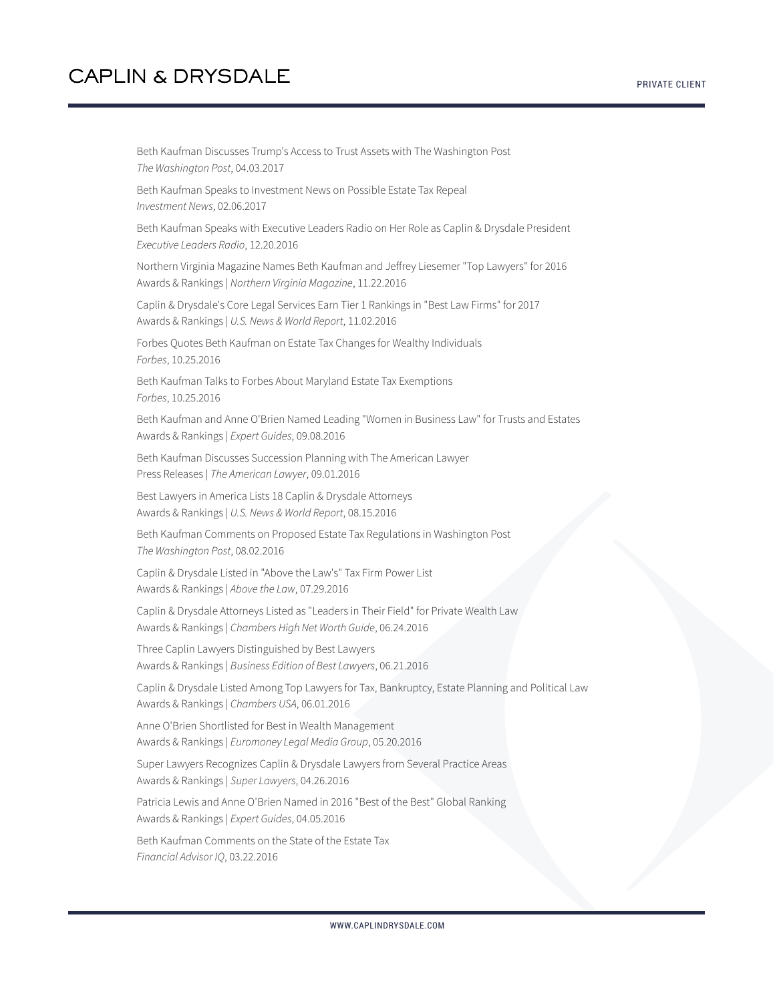Beth Kaufman Discusses Trump's Access to Trust Assets with The Washington Post *The Washington Post*, 04.03.2017 Beth Kaufman Speaks to Investment News on Possible Estate Tax Repeal *Investment News*, 02.06.2017 Beth Kaufman Speaks with Executive Leaders Radio on Her Role as Caplin & Drysdale President *Executive Leaders Radio*, 12.20.2016 Northern Virginia Magazine Names Beth Kaufman and Jeffrey Liesemer "Top Lawyers" for 2016 Awards & Rankings | *Northern Virginia Magazine*, 11.22.2016 Caplin & Drysdale's Core Legal Services Earn Tier 1 Rankings in "Best Law Firms" for 2017 Awards & Rankings | *U.S. News & World Report*, 11.02.2016 Forbes Quotes Beth Kaufman on Estate Tax Changes for Wealthy Individuals *Forbes*, 10.25.2016 Beth Kaufman Talks to Forbes About Maryland Estate Tax Exemptions *Forbes*, 10.25.2016 Beth Kaufman and Anne O'Brien Named Leading "Women in Business Law" for Trusts and Estates Awards & Rankings | *Expert Guides*, 09.08.2016 Beth Kaufman Discusses Succession Planning with The American Lawyer Press Releases | *The American Lawyer*, 09.01.2016 Best Lawyers in America Lists 18 Caplin & Drysdale Attorneys Awards & Rankings | *U.S. News & World Report*, 08.15.2016 Beth Kaufman Comments on Proposed Estate Tax Regulations in Washington Post *The Washington Post*, 08.02.2016 Caplin & Drysdale Listed in "Above the Law's" Tax Firm Power List Awards & Rankings | *Above the Law*, 07.29.2016 Caplin & Drysdale Attorneys Listed as "Leaders in Their Field" for Private Wealth Law Awards & Rankings | *Chambers High Net Worth Guide*, 06.24.2016 Three Caplin Lawyers Distinguished by Best Lawyers Awards & Rankings | *Business Edition of Best Lawyers*, 06.21.2016 Caplin & Drysdale Listed Among Top Lawyers for Tax, Bankruptcy, Estate Planning and Political Law Awards & Rankings | *Chambers USA*, 06.01.2016 Anne O'Brien Shortlisted for Best in Wealth Management Awards & Rankings | *Euromoney Legal Media Group*, 05.20.2016 Super Lawyers Recognizes Caplin & Drysdale Lawyers from Several Practice Areas Awards & Rankings | *Super Lawyers*, 04.26.2016 Patricia Lewis and Anne O'Brien Named in 2016 "Best of the Best" Global Ranking Awards & Rankings | *Expert Guides*, 04.05.2016 Beth Kaufman Comments on the State of the Estate Tax *Financial Advisor IQ*, 03.22.2016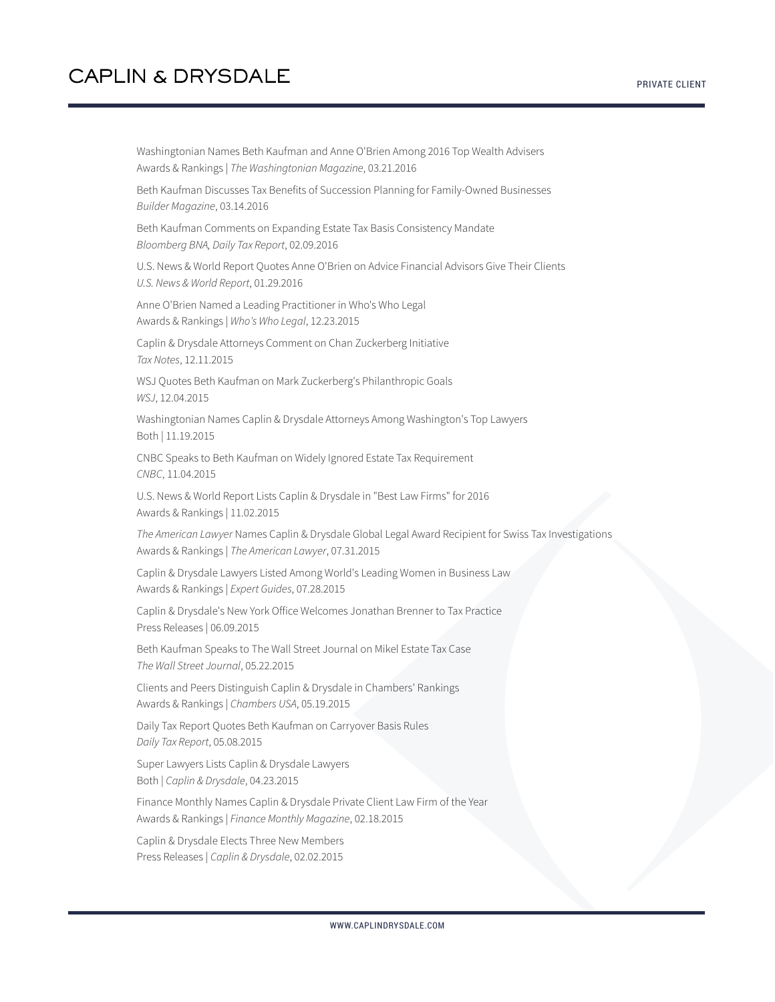Washingtonian Names Beth Kaufman and Anne O'Brien Among 2016 Top Wealth Advisers Awards & Rankings | *The Washingtonian Magazine*, 03.21.2016

Beth Kaufman Discusses Tax Benefits of Succession Planning for Family-Owned Businesses *Builder Magazine*, 03.14.2016

Beth Kaufman Comments on Expanding Estate Tax Basis Consistency Mandate *Bloomberg BNA, Daily Tax Report*, 02.09.2016

U.S. News & World Report Quotes Anne O'Brien on Advice Financial Advisors Give Their Clients *U.S. News & World Report*, 01.29.2016

Anne O'Brien Named a Leading Practitioner in Who's Who Legal Awards & Rankings | *Who's Who Legal*, 12.23.2015

Caplin & Drysdale Attorneys Comment on Chan Zuckerberg Initiative *Tax Notes*, 12.11.2015

WSJ Quotes Beth Kaufman on Mark Zuckerberg's Philanthropic Goals *WSJ*, 12.04.2015

Washingtonian Names Caplin & Drysdale Attorneys Among Washington's Top Lawyers Both | 11.19.2015

CNBC Speaks to Beth Kaufman on Widely Ignored Estate Tax Requirement *CNBC*, 11.04.2015

U.S. News & World Report Lists Caplin & Drysdale in "Best Law Firms" for 2016 Awards & Rankings | 11.02.2015

*The American Lawyer* Names Caplin & Drysdale Global Legal Award Recipient for Swiss Tax Investigations Awards & Rankings | *The American Lawyer*, 07.31.2015

Caplin & Drysdale Lawyers Listed Among World's Leading Women in Business Law Awards & Rankings | *Expert Guides*, 07.28.2015

Caplin & Drysdale's New York Office Welcomes Jonathan Brenner to Tax Practice Press Releases | 06.09.2015

Beth Kaufman Speaks to The Wall Street Journal on Mikel Estate Tax Case *The Wall Street Journal*, 05.22.2015

Clients and Peers Distinguish Caplin & Drysdale in Chambers' Rankings Awards & Rankings | *Chambers USA*, 05.19.2015

Daily Tax Report Quotes Beth Kaufman on Carryover Basis Rules *Daily Tax Report*, 05.08.2015

Super Lawyers Lists Caplin & Drysdale Lawyers Both | *Caplin & Drysdale*, 04.23.2015

Finance Monthly Names Caplin & Drysdale Private Client Law Firm of the Year Awards & Rankings | *Finance Monthly Magazine*, 02.18.2015

Caplin & Drysdale Elects Three New Members Press Releases | *Caplin & Drysdale*, 02.02.2015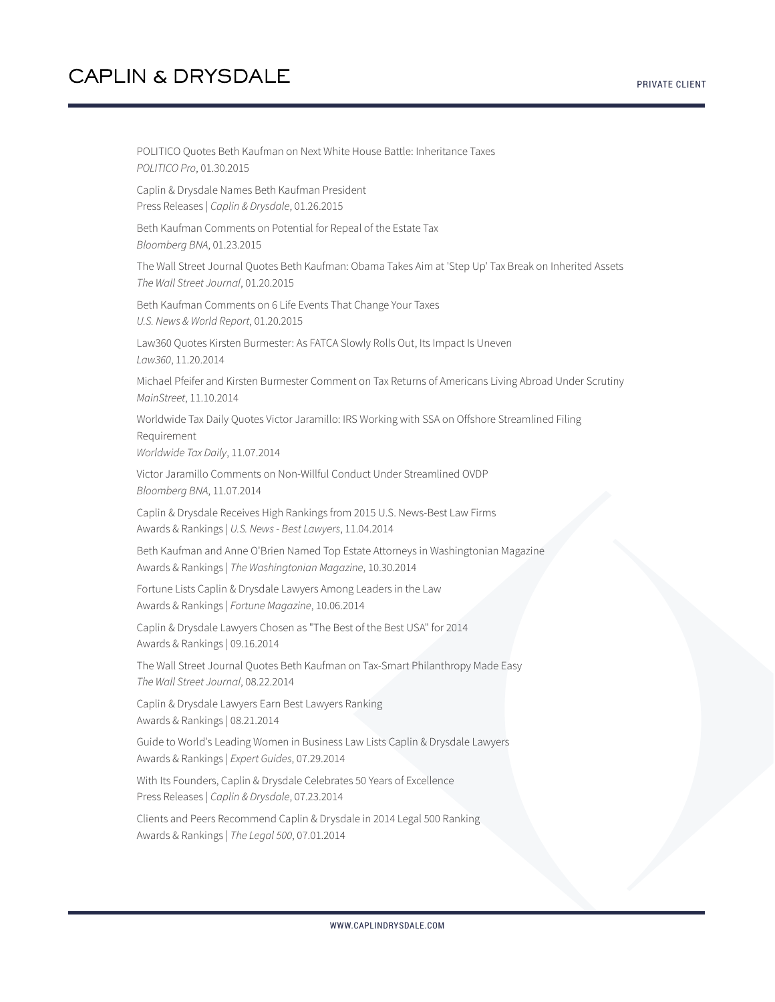POLITICO Quotes Beth Kaufman on Next White House Battle: Inheritance Taxes *POLITICO Pro*, 01.30.2015 Caplin & Drysdale Names Beth Kaufman President Press Releases | *Caplin & Drysdale*, 01.26.2015 Beth Kaufman Comments on Potential for Repeal of the Estate Tax *Bloomberg BNA*, 01.23.2015 The Wall Street Journal Quotes Beth Kaufman: Obama Takes Aim at 'Step Up' Tax Break on Inherited Assets *The Wall Street Journal*, 01.20.2015 Beth Kaufman Comments on 6 Life Events That Change Your Taxes *U.S. News & World Report*, 01.20.2015 Law360 Quotes Kirsten Burmester: As FATCA Slowly Rolls Out, Its Impact Is Uneven *Law360*, 11.20.2014 Michael Pfeifer and Kirsten Burmester Comment on Tax Returns of Americans Living Abroad Under Scrutiny *MainStreet*, 11.10.2014 Worldwide Tax Daily Quotes Victor Jaramillo: IRS Working with SSA on Offshore Streamlined Filing Requirement *Worldwide Tax Daily*, 11.07.2014 Victor Jaramillo Comments on Non-Willful Conduct Under Streamlined OVDP *Bloomberg BNA*, 11.07.2014 Caplin & Drysdale Receives High Rankings from 2015 U.S. News-Best Law Firms Awards & Rankings | *U.S. News - Best Lawyers*, 11.04.2014 Beth Kaufman and Anne O'Brien Named Top Estate Attorneys in Washingtonian Magazine Awards & Rankings | *The Washingtonian Magazine*, 10.30.2014 Fortune Lists Caplin & Drysdale Lawyers Among Leaders in the Law Awards & Rankings | *Fortune Magazine*, 10.06.2014 Caplin & Drysdale Lawyers Chosen as "The Best of the Best USA" for 2014 Awards & Rankings | 09.16.2014 The Wall Street Journal Quotes Beth Kaufman on Tax-Smart Philanthropy Made Easy *The Wall Street Journal*, 08.22.2014 Caplin & Drysdale Lawyers Earn Best Lawyers Ranking Awards & Rankings | 08.21.2014 Guide to World's Leading Women in Business Law Lists Caplin & Drysdale Lawyers Awards & Rankings | *Expert Guides*, 07.29.2014 With Its Founders, Caplin & Drysdale Celebrates 50 Years of Excellence

Press Releases | *Caplin & Drysdale*, 07.23.2014

Clients and Peers Recommend Caplin & Drysdale in 2014 Legal 500 Ranking Awards & Rankings | *The Legal 500*, 07.01.2014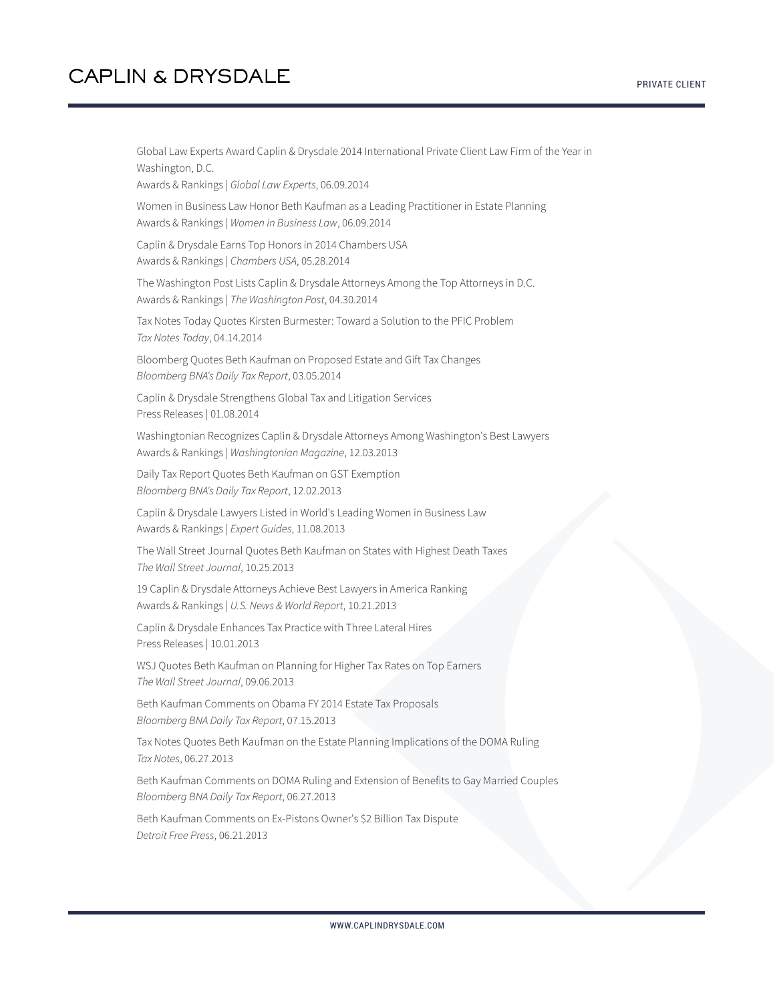Global Law Experts Award Caplin & Drysdale 2014 International Private Client Law Firm of the Year in Washington, D.C. Awards & Rankings | *Global Law Experts*, 06.09.2014 Women in Business Law Honor Beth Kaufman as a Leading Practitioner in Estate Planning Awards & Rankings | *Women in Business Law*, 06.09.2014 Caplin & Drysdale Earns Top Honors in 2014 Chambers USA Awards & Rankings | *Chambers USA*, 05.28.2014 The Washington Post Lists Caplin & Drysdale Attorneys Among the Top Attorneys in D.C. Awards & Rankings | *The Washington Post*, 04.30.2014 Tax Notes Today Quotes Kirsten Burmester: Toward a Solution to the PFIC Problem *Tax Notes Today*, 04.14.2014 Bloomberg Quotes Beth Kaufman on Proposed Estate and Gift Tax Changes *Bloomberg BNA's Daily Tax Report*, 03.05.2014 Caplin & Drysdale Strengthens Global Tax and Litigation Services Press Releases | 01.08.2014 Washingtonian Recognizes Caplin & Drysdale Attorneys Among Washington's Best Lawyers Awards & Rankings | *Washingtonian Magazine*, 12.03.2013 Daily Tax Report Quotes Beth Kaufman on GST Exemption *Bloomberg BNA's Daily Tax Report*, 12.02.2013 Caplin & Drysdale Lawyers Listed in World's Leading Women in Business Law Awards & Rankings | *Expert Guides*, 11.08.2013 The Wall Street Journal Quotes Beth Kaufman on States with Highest Death Taxes *The Wall Street Journal*, 10.25.2013 19 Caplin & Drysdale Attorneys Achieve Best Lawyers in America Ranking Awards & Rankings | *U.S. News & World Report*, 10.21.2013 Caplin & Drysdale Enhances Tax Practice with Three Lateral Hires Press Releases | 10.01.2013 WSJ Quotes Beth Kaufman on Planning for Higher Tax Rates on Top Earners *The Wall Street Journal*, 09.06.2013 Beth Kaufman Comments on Obama FY 2014 Estate Tax Proposals *Bloomberg BNA Daily Tax Report*, 07.15.2013 Tax Notes Quotes Beth Kaufman on the Estate Planning Implications of the DOMA Ruling *Tax Notes*, 06.27.2013 Beth Kaufman Comments on DOMA Ruling and Extension of Benefits to Gay Married Couples *Bloomberg BNA Daily Tax Report*, 06.27.2013 Beth Kaufman Comments on Ex-Pistons Owner's \$2 Billion Tax Dispute *Detroit Free Press*, 06.21.2013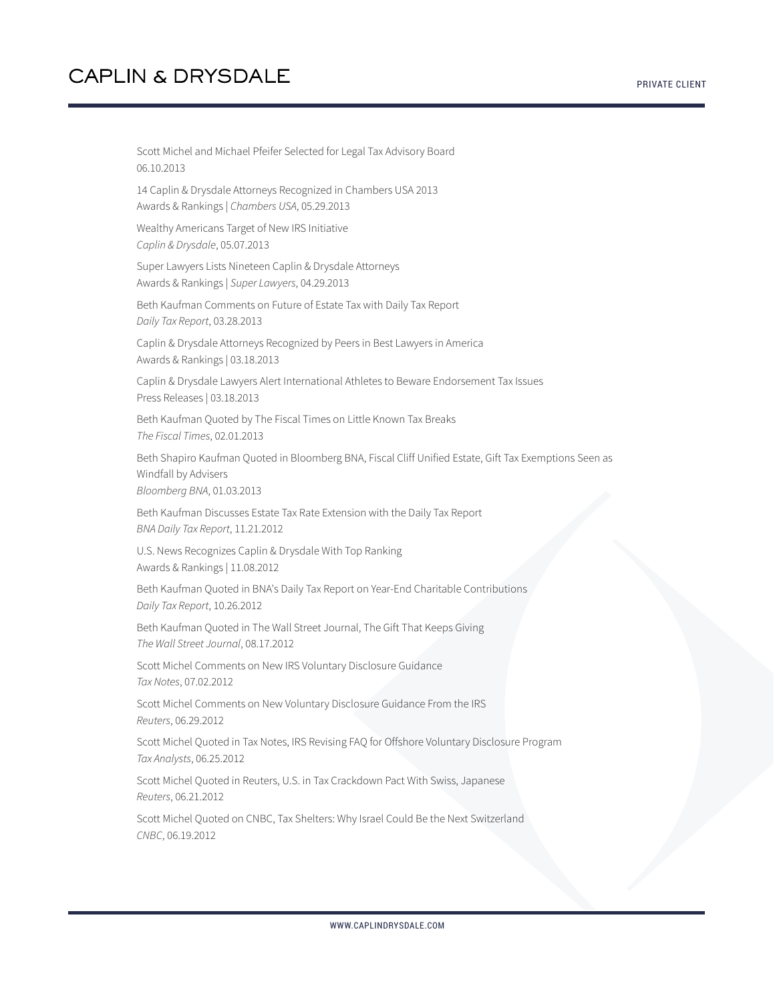Scott Michel and Michael Pfeifer Selected for Legal Tax Advisory Board 06.10.2013 14 Caplin & Drysdale Attorneys Recognized in Chambers USA 2013 Awards & Rankings | *Chambers USA*, 05.29.2013 Wealthy Americans Target of New IRS Initiative *Caplin & Drysdale*, 05.07.2013 Super Lawyers Lists Nineteen Caplin & Drysdale Attorneys Awards & Rankings | *Super Lawyers*, 04.29.2013 Beth Kaufman Comments on Future of Estate Tax with Daily Tax Report *Daily Tax Report*, 03.28.2013 Caplin & Drysdale Attorneys Recognized by Peers in Best Lawyers in America Awards & Rankings | 03.18.2013 Caplin & Drysdale Lawyers Alert International Athletes to Beware Endorsement Tax Issues Press Releases | 03.18.2013 Beth Kaufman Quoted by The Fiscal Times on Little Known Tax Breaks *The Fiscal Times*, 02.01.2013 Beth Shapiro Kaufman Quoted in Bloomberg BNA, Fiscal Cliff Unified Estate, Gift Tax Exemptions Seen as Windfall by Advisers *Bloomberg BNA*, 01.03.2013 Beth Kaufman Discusses Estate Tax Rate Extension with the Daily Tax Report *BNA Daily Tax Report*, 11.21.2012 U.S. News Recognizes Caplin & Drysdale With Top Ranking Awards & Rankings | 11.08.2012 Beth Kaufman Quoted in BNA's Daily Tax Report on Year-End Charitable Contributions *Daily Tax Report*, 10.26.2012

Beth Kaufman Quoted in The Wall Street Journal, The Gift That Keeps Giving *The Wall Street Journal*, 08.17.2012

Scott Michel Comments on New IRS Voluntary Disclosure Guidance *Tax Notes*, 07.02.2012

Scott Michel Comments on New Voluntary Disclosure Guidance From the IRS *Reuters*, 06.29.2012

Scott Michel Quoted in Tax Notes, IRS Revising FAQ for Offshore Voluntary Disclosure Program *Tax Analysts*, 06.25.2012

Scott Michel Quoted in Reuters, U.S. in Tax Crackdown Pact With Swiss, Japanese *Reuters*, 06.21.2012

Scott Michel Quoted on CNBC, Tax Shelters: Why Israel Could Be the Next Switzerland *CNBC*, 06.19.2012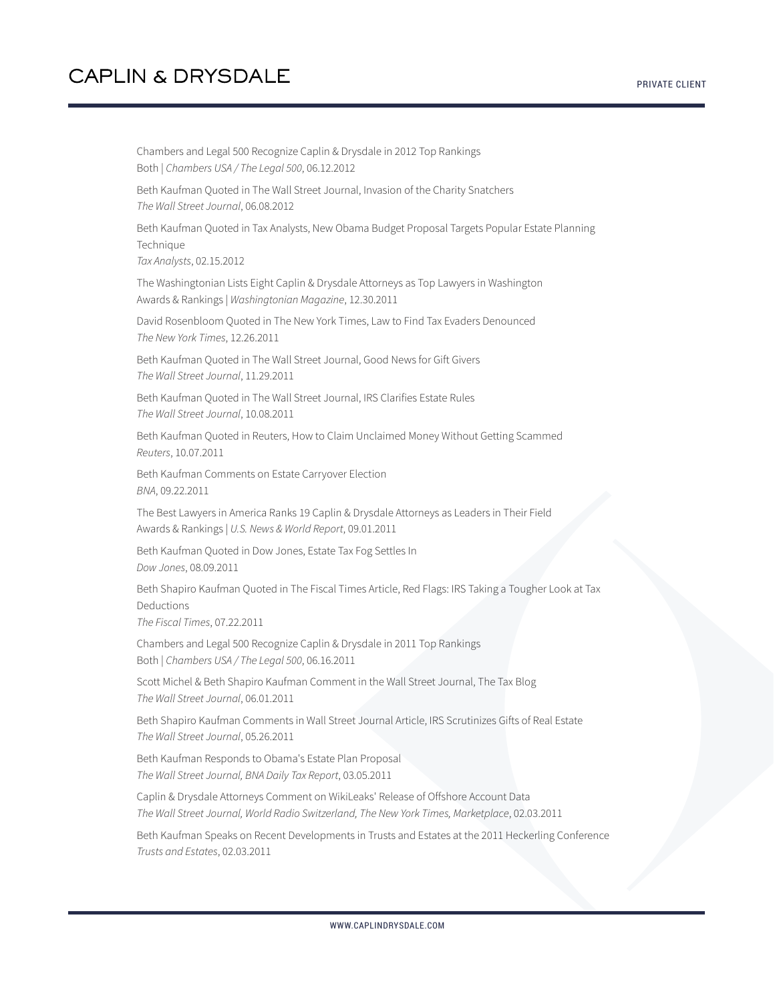Chambers and Legal 500 Recognize Caplin & Drysdale in 2012 Top Rankings Both | *Chambers USA / The Legal 500*, 06.12.2012 Beth Kaufman Quoted in The Wall Street Journal, Invasion of the Charity Snatchers *The Wall Street Journal*, 06.08.2012 Beth Kaufman Quoted in Tax Analysts, New Obama Budget Proposal Targets Popular Estate Planning **Technique** *Tax Analysts*, 02.15.2012 The Washingtonian Lists Eight Caplin & Drysdale Attorneys as Top Lawyers in Washington Awards & Rankings | *Washingtonian Magazine*, 12.30.2011 David Rosenbloom Quoted in The New York Times, Law to Find Tax Evaders Denounced *The New York Times*, 12.26.2011 Beth Kaufman Quoted in The Wall Street Journal, Good News for Gift Givers *The Wall Street Journal*, 11.29.2011 Beth Kaufman Quoted in The Wall Street Journal, IRS Clarifies Estate Rules *The Wall Street Journal*, 10.08.2011 Beth Kaufman Quoted in Reuters, How to Claim Unclaimed Money Without Getting Scammed *Reuters*, 10.07.2011 Beth Kaufman Comments on Estate Carryover Election *BNA*, 09.22.2011 The Best Lawyers in America Ranks 19 Caplin & Drysdale Attorneys as Leaders in Their Field Awards & Rankings | *U.S. News & World Report*, 09.01.2011 Beth Kaufman Quoted in Dow Jones, Estate Tax Fog Settles In *Dow Jones*, 08.09.2011 Beth Shapiro Kaufman Quoted in The Fiscal Times Article, Red Flags: IRS Taking a Tougher Look at Tax Deductions *The Fiscal Times*, 07.22.2011 Chambers and Legal 500 Recognize Caplin & Drysdale in 2011 Top Rankings Both | *Chambers USA / The Legal 500*, 06.16.2011 Scott Michel & Beth Shapiro Kaufman Comment in the Wall Street Journal, The Tax Blog *The Wall Street Journal*, 06.01.2011 Beth Shapiro Kaufman Comments in Wall Street Journal Article, IRS Scrutinizes Gifts of Real Estate *The Wall Street Journal*, 05.26.2011 Beth Kaufman Responds to Obama's Estate Plan Proposal *The Wall Street Journal, BNA Daily Tax Report*, 03.05.2011 Caplin & Drysdale Attorneys Comment on WikiLeaks' Release of Offshore Account Data *The Wall Street Journal, World Radio Switzerland, The New York Times, Marketplace*, 02.03.2011

Beth Kaufman Speaks on Recent Developments in Trusts and Estates at the 2011 Heckerling Conference *Trusts and Estates*, 02.03.2011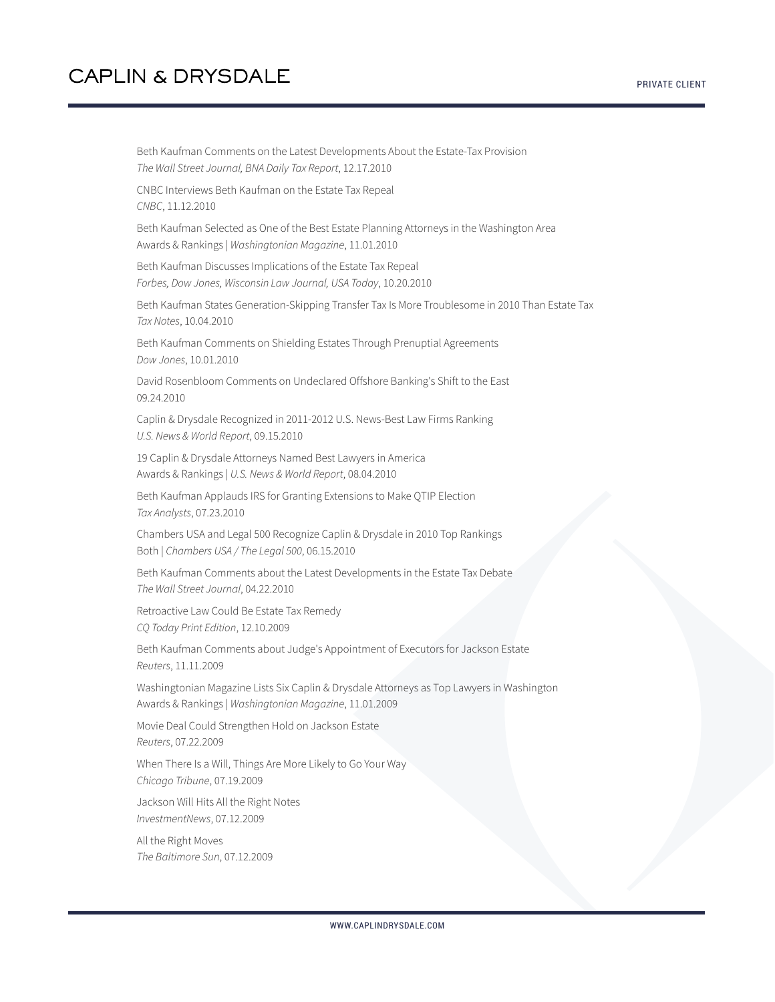Beth Kaufman Comments on the Latest Developments About the Estate-Tax Provision *The Wall Street Journal, BNA Daily Tax Report*, 12.17.2010 CNBC Interviews Beth Kaufman on the Estate Tax Repeal *CNBC*, 11.12.2010 Beth Kaufman Selected as One of the Best Estate Planning Attorneys in the Washington Area Awards & Rankings | *Washingtonian Magazine*, 11.01.2010 Beth Kaufman Discusses Implications of the Estate Tax Repeal *Forbes, Dow Jones, Wisconsin Law Journal, USA Today*, 10.20.2010 Beth Kaufman States Generation-Skipping Transfer Tax Is More Troublesome in 2010 Than Estate Tax *Tax Notes*, 10.04.2010 Beth Kaufman Comments on Shielding Estates Through Prenuptial Agreements *Dow Jones*, 10.01.2010 David Rosenbloom Comments on Undeclared Offshore Banking's Shift to the East 09.24.2010 Caplin & Drysdale Recognized in 2011-2012 U.S. News-Best Law Firms Ranking *U.S. News & World Report*, 09.15.2010 19 Caplin & Drysdale Attorneys Named Best Lawyers in America Awards & Rankings | *U.S. News & World Report*, 08.04.2010 Beth Kaufman Applauds IRS for Granting Extensions to Make QTIP Election *Tax Analysts*, 07.23.2010 Chambers USA and Legal 500 Recognize Caplin & Drysdale in 2010 Top Rankings Both | *Chambers USA / The Legal 500*, 06.15.2010 Beth Kaufman Comments about the Latest Developments in the Estate Tax Debate *The Wall Street Journal*, 04.22.2010 Retroactive Law Could Be Estate Tax Remedy *CQ Today Print Edition*, 12.10.2009 Beth Kaufman Comments about Judge's Appointment of Executors for Jackson Estate *Reuters*, 11.11.2009 Washingtonian Magazine Lists Six Caplin & Drysdale Attorneys as Top Lawyers in Washington Awards & Rankings | *Washingtonian Magazine*, 11.01.2009 Movie Deal Could Strengthen Hold on Jackson Estate *Reuters*, 07.22.2009 When There Is a Will, Things Are More Likely to Go Your Way *Chicago Tribune*, 07.19.2009 Jackson Will Hits All the Right Notes *InvestmentNews*, 07.12.2009 All the Right Moves *The Baltimore Sun*, 07.12.2009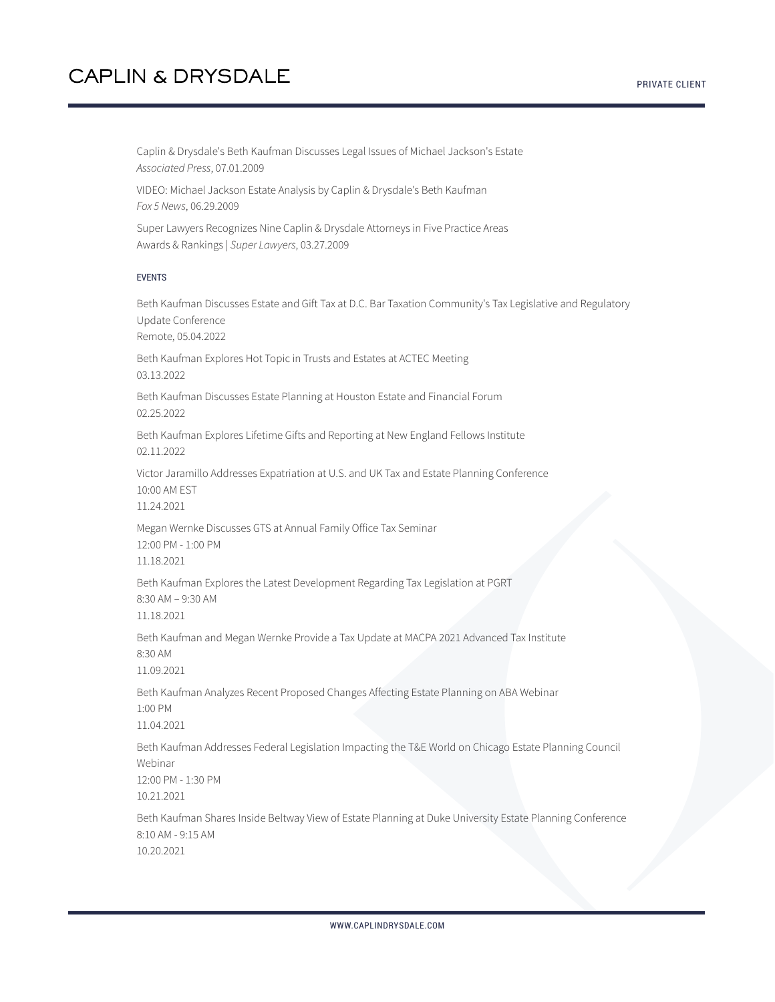Caplin & Drysdale's Beth Kaufman Discusses Legal Issues of Michael Jackson's Estate *Associated Press*, 07.01.2009

VIDEO: Michael Jackson Estate Analysis by Caplin & Drysdale's Beth Kaufman *Fox 5 News*, 06.29.2009

Super Lawyers Recognizes Nine Caplin & Drysdale Attorneys in Five Practice Areas Awards & Rankings | *Super Lawyers*, 03.27.2009

#### EVENTS

Beth Kaufman Discusses Estate and Gift Tax at D.C. Bar Taxation Community's Tax Legislative and Regulatory Update Conference Remote, 05.04.2022

Beth Kaufman Explores Hot Topic in Trusts and Estates at ACTEC Meeting 03.13.2022

Beth Kaufman Discusses Estate Planning at Houston Estate and Financial Forum 02.25.2022

Beth Kaufman Explores Lifetime Gifts and Reporting at New England Fellows Institute 02.11.2022

Victor Jaramillo Addresses Expatriation at U.S. and UK Tax and Estate Planning Conference 10:00 AM EST

11.24.2021

Megan Wernke Discusses GTS at Annual Family Office Tax Seminar 12:00 PM - 1:00 PM 11.18.2021

Beth Kaufman Explores the Latest Development Regarding Tax Legislation at PGRT 8:30 AM – 9:30 AM

11.18.2021

Beth Kaufman and Megan Wernke Provide a Tax Update at MACPA 2021 Advanced Tax Institute 8:30 AM

11.09.2021

Beth Kaufman Analyzes Recent Proposed Changes Affecting Estate Planning on ABA Webinar 1:00 PM

11.04.2021

Beth Kaufman Addresses Federal Legislation Impacting the T&E World on Chicago Estate Planning Council Webinar

12:00 PM - 1:30 PM 10.21.2021

Beth Kaufman Shares Inside Beltway View of Estate Planning at Duke University Estate Planning Conference 8:10 AM - 9:15 AM 10.20.2021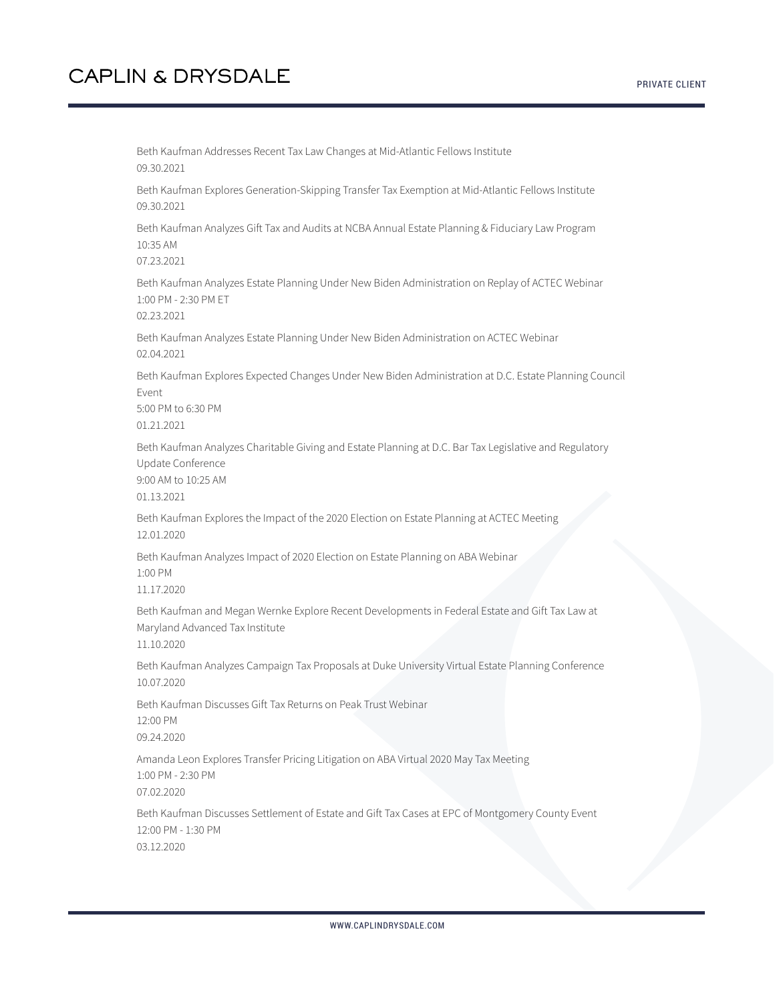Beth Kaufman Addresses Recent Tax Law Changes at Mid-Atlantic Fellows Institute 09.30.2021 Beth Kaufman Explores Generation-Skipping Transfer Tax Exemption at Mid-Atlantic Fellows Institute 09.30.2021 Beth Kaufman Analyzes Gift Tax and Audits at NCBA Annual Estate Planning & Fiduciary Law Program 10:35 AM 07.23.2021 Beth Kaufman Analyzes Estate Planning Under New Biden Administration on Replay of ACTEC Webinar 1:00 PM - 2:30 PM ET 02.23.2021 Beth Kaufman Analyzes Estate Planning Under New Biden Administration on ACTEC Webinar 02.04.2021 Beth Kaufman Explores Expected Changes Under New Biden Administration at D.C. Estate Planning Council Event 5:00 PM to 6:30 PM 01.21.2021 Beth Kaufman Analyzes Charitable Giving and Estate Planning at D.C. Bar Tax Legislative and Regulatory Update Conference 9:00 AM to 10:25 AM 01.13.2021 Beth Kaufman Explores the Impact of the 2020 Election on Estate Planning at ACTEC Meeting 12.01.2020 Beth Kaufman Analyzes Impact of 2020 Election on Estate Planning on ABA Webinar 1:00 PM 11.17.2020 Beth Kaufman and Megan Wernke Explore Recent Developments in Federal Estate and Gift Tax Law at Maryland Advanced Tax Institute 11.10.2020 Beth Kaufman Analyzes Campaign Tax Proposals at Duke University Virtual Estate Planning Conference 10.07.2020 Beth Kaufman Discusses Gift Tax Returns on Peak Trust Webinar 12:00 PM 09.24.2020 Amanda Leon Explores Transfer Pricing Litigation on ABA Virtual 2020 May Tax Meeting 1:00 PM - 2:30 PM 07.02.2020 Beth Kaufman Discusses Settlement of Estate and Gift Tax Cases at EPC of Montgomery County Event 12:00 PM - 1:30 PM

03.12.2020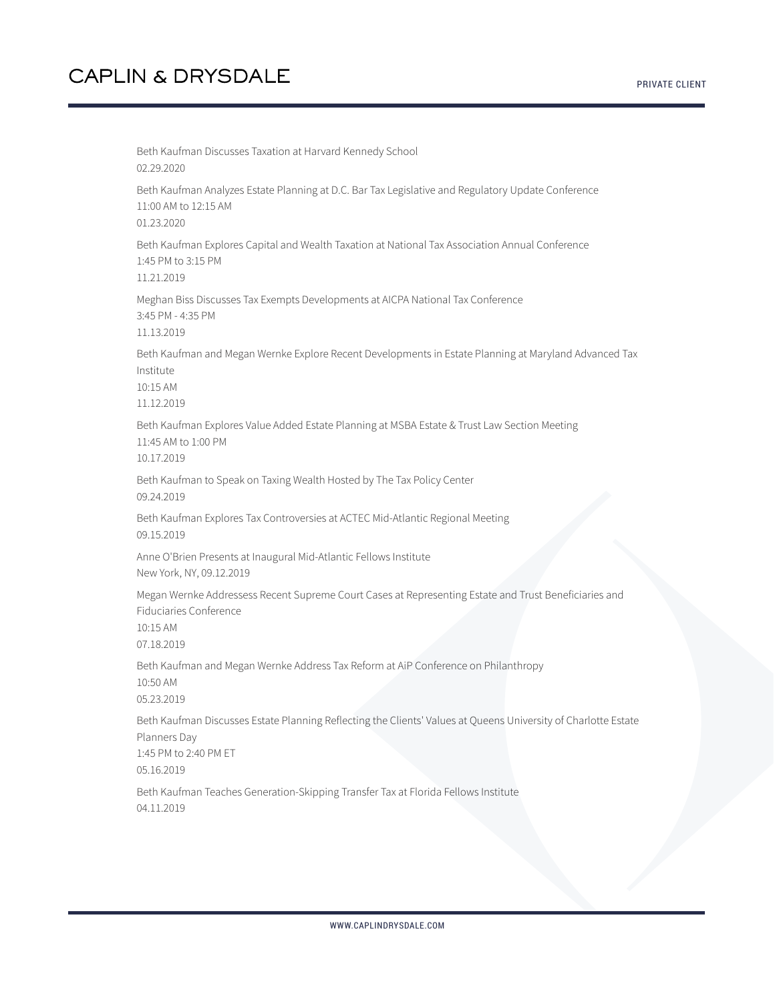PRIVATE CLIENT

Beth Kaufman Discusses Taxation at Harvard Kennedy School 02.29.2020 Beth Kaufman Analyzes Estate Planning at D.C. Bar Tax Legislative and Regulatory Update Conference 11:00 AM to 12:15 AM 01.23.2020 Beth Kaufman Explores Capital and Wealth Taxation at National Tax Association Annual Conference 1:45 PM to 3:15 PM 11.21.2019 Meghan Biss Discusses Tax Exempts Developments at AICPA National Tax Conference 3:45 PM - 4:35 PM 11.13.2019 Beth Kaufman and Megan Wernke Explore Recent Developments in Estate Planning at Maryland Advanced Tax Institute 10:15 AM 11.12.2019 Beth Kaufman Explores Value Added Estate Planning at MSBA Estate & Trust Law Section Meeting 11:45 AM to 1:00 PM 10.17.2019 Beth Kaufman to Speak on Taxing Wealth Hosted by The Tax Policy Center 09.24.2019 Beth Kaufman Explores Tax Controversies at ACTEC Mid-Atlantic Regional Meeting 09.15.2019 Anne O'Brien Presents at Inaugural Mid-Atlantic Fellows Institute New York, NY, 09.12.2019 Megan Wernke Addressess Recent Supreme Court Cases at Representing Estate and Trust Beneficiaries and Fiduciaries Conference 10:15 AM 07.18.2019 Beth Kaufman and Megan Wernke Address Tax Reform at AiP Conference on Philanthropy 10:50 AM 05.23.2019 Beth Kaufman Discusses Estate Planning Reflecting the Clients' Values at Queens University of Charlotte Estate Planners Day 1:45 PM to 2:40 PM ET 05.16.2019 Beth Kaufman Teaches Generation-Skipping Transfer Tax at Florida Fellows Institute 04.11.2019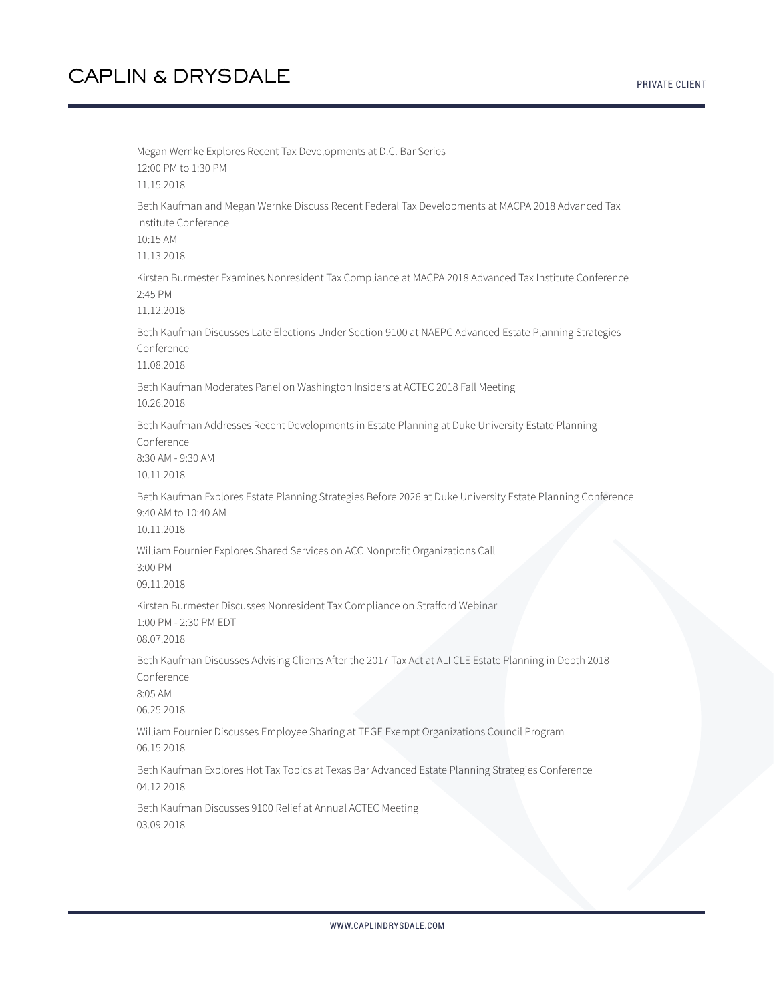Megan Wernke Explores Recent Tax Developments at D.C. Bar Series 12:00 PM to 1:30 PM 11.15.2018 Beth Kaufman and Megan Wernke Discuss Recent Federal Tax Developments at MACPA 2018 Advanced Tax Institute Conference 10:15 AM 11.13.2018 Kirsten Burmester Examines Nonresident Tax Compliance at MACPA 2018 Advanced Tax Institute Conference 2:45 PM 11.12.2018 Beth Kaufman Discusses Late Elections Under Section 9100 at NAEPC Advanced Estate Planning Strategies Conference 11.08.2018 Beth Kaufman Moderates Panel on Washington Insiders at ACTEC 2018 Fall Meeting 10.26.2018 Beth Kaufman Addresses Recent Developments in Estate Planning at Duke University Estate Planning Conference 8:30 AM - 9:30 AM 10.11.2018 Beth Kaufman Explores Estate Planning Strategies Before 2026 at Duke University Estate Planning Conference 9:40 AM to 10:40 AM 10.11.2018 William Fournier Explores Shared Services on ACC Nonprofit Organizations Call 3:00 PM 09.11.2018 Kirsten Burmester Discusses Nonresident Tax Compliance on Strafford Webinar 1:00 PM - 2:30 PM EDT 08.07.2018 Beth Kaufman Discusses Advising Clients After the 2017 Tax Act at ALI CLE Estate Planning in Depth 2018 Conference 8:05 AM 06.25.2018 William Fournier Discusses Employee Sharing at TEGE Exempt Organizations Council Program 06.15.2018 Beth Kaufman Explores Hot Tax Topics at Texas Bar Advanced Estate Planning Strategies Conference 04.12.2018 Beth Kaufman Discusses 9100 Relief at Annual ACTEC Meeting 03.09.2018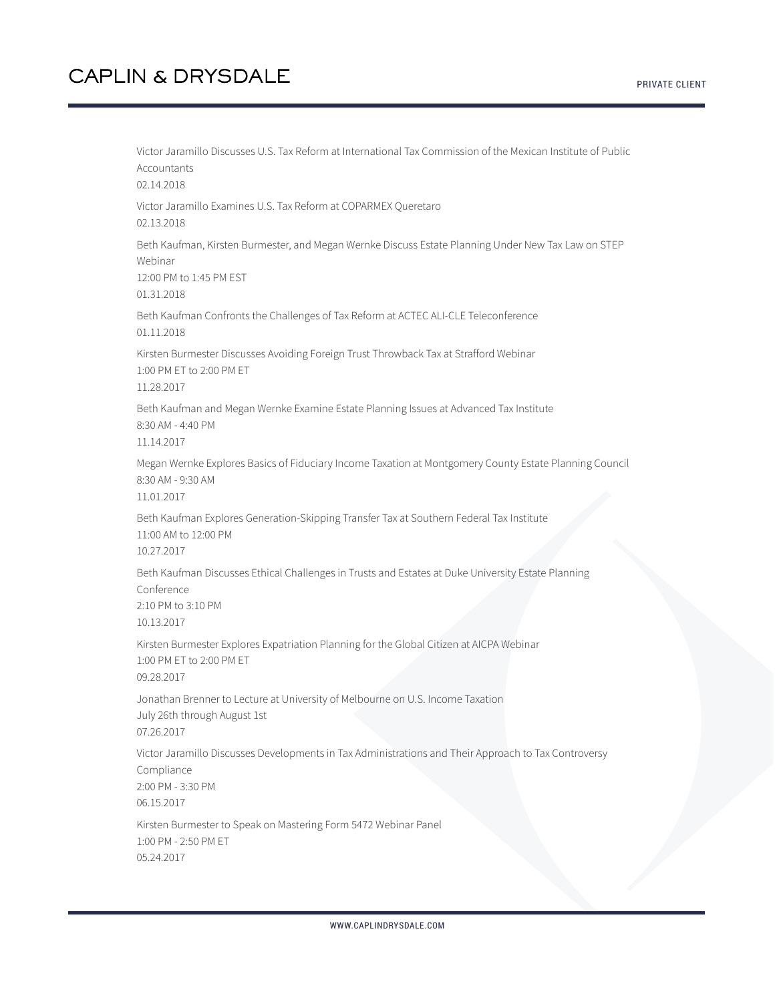Victor Jaramillo Discusses U.S. Tax Reform at International Tax Commission of the Mexican Institute of Public Accountants 02.14.2018 Victor Jaramillo Examines U.S. Tax Reform at COPARMEX Queretaro 02.13.2018 Beth Kaufman, Kirsten Burmester, and Megan Wernke Discuss Estate Planning Under New Tax Law on STEP Webinar 12:00 PM to 1:45 PM EST 01.31.2018 Beth Kaufman Confronts the Challenges of Tax Reform at ACTEC ALI-CLE Teleconference 01.11.2018 Kirsten Burmester Discusses Avoiding Foreign Trust Throwback Tax at Strafford Webinar 1:00 PM ET to 2:00 PM ET 11.28.2017 Beth Kaufman and Megan Wernke Examine Estate Planning Issues at Advanced Tax Institute 8:30 AM - 4:40 PM 11.14.2017 Megan Wernke Explores Basics of Fiduciary Income Taxation at Montgomery County Estate Planning Council 8:30 AM - 9:30 AM 11.01.2017 Beth Kaufman Explores Generation-Skipping Transfer Tax at Southern Federal Tax Institute 11:00 AM to 12:00 PM 10.27.2017 Beth Kaufman Discusses Ethical Challenges in Trusts and Estates at Duke University Estate Planning Conference 2:10 PM to 3:10 PM 10.13.2017 Kirsten Burmester Explores Expatriation Planning for the Global Citizen at AICPA Webinar 1:00 PM ET to 2:00 PM ET 09.28.2017 Jonathan Brenner to Lecture at University of Melbourne on U.S. Income Taxation July 26th through August 1st 07.26.2017 Victor Jaramillo Discusses Developments in Tax Administrations and Their Approach to Tax Controversy Compliance 2:00 PM - 3:30 PM 06.15.2017 Kirsten Burmester to Speak on Mastering Form 5472 Webinar Panel 1:00 PM - 2:50 PM ET 05.24.2017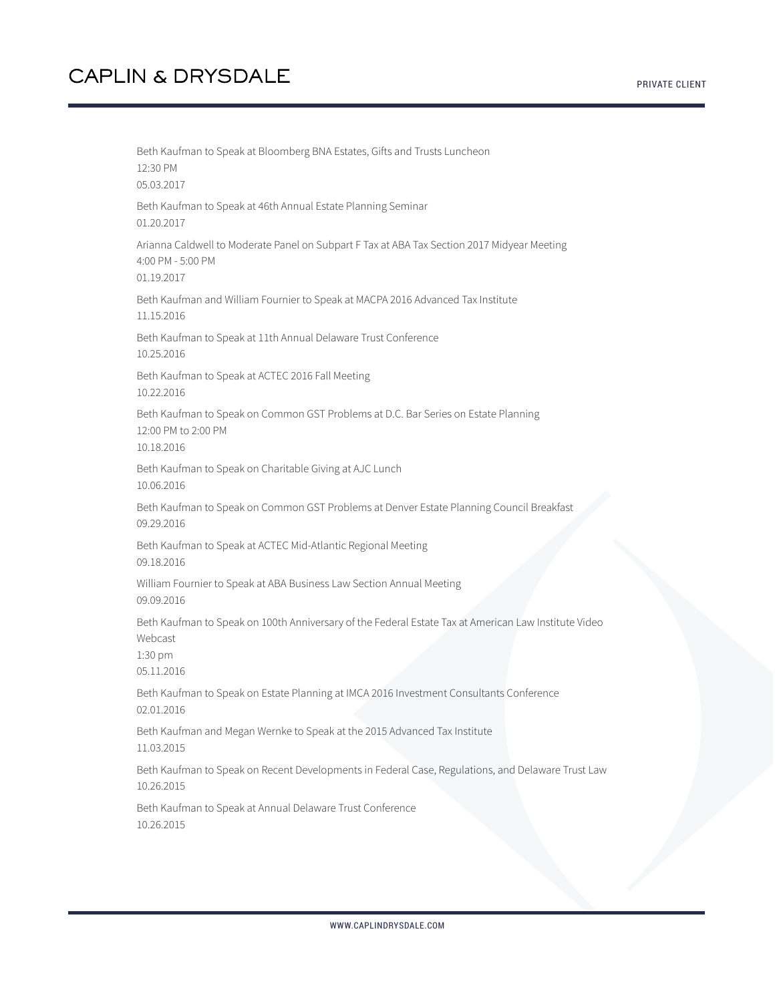Beth Kaufman to Speak at Bloomberg BNA Estates, Gifts and Trusts Luncheon 12:30 PM 05.03.2017 Beth Kaufman to Speak at 46th Annual Estate Planning Seminar 01.20.2017 Arianna Caldwell to Moderate Panel on Subpart F Tax at ABA Tax Section 2017 Midyear Meeting 4:00 PM - 5:00 PM 01.19.2017 Beth Kaufman and William Fournier to Speak at MACPA 2016 Advanced Tax Institute 11.15.2016 Beth Kaufman to Speak at 11th Annual Delaware Trust Conference 10.25.2016 Beth Kaufman to Speak at ACTEC 2016 Fall Meeting 10.22.2016 Beth Kaufman to Speak on Common GST Problems at D.C. Bar Series on Estate Planning 12:00 PM to 2:00 PM 10.18.2016 Beth Kaufman to Speak on Charitable Giving at AJC Lunch 10.06.2016 Beth Kaufman to Speak on Common GST Problems at Denver Estate Planning Council Breakfast 09.29.2016 Beth Kaufman to Speak at ACTEC Mid-Atlantic Regional Meeting 09.18.2016 William Fournier to Speak at ABA Business Law Section Annual Meeting 09.09.2016 Beth Kaufman to Speak on 100th Anniversary of the Federal Estate Tax at American Law Institute Video Webcast 1:30 pm 05.11.2016 Beth Kaufman to Speak on Estate Planning at IMCA 2016 Investment Consultants Conference 02.01.2016 Beth Kaufman and Megan Wernke to Speak at the 2015 Advanced Tax Institute 11.03.2015 Beth Kaufman to Speak on Recent Developments in Federal Case, Regulations, and Delaware Trust Law 10.26.2015 Beth Kaufman to Speak at Annual Delaware Trust Conference 10.26.2015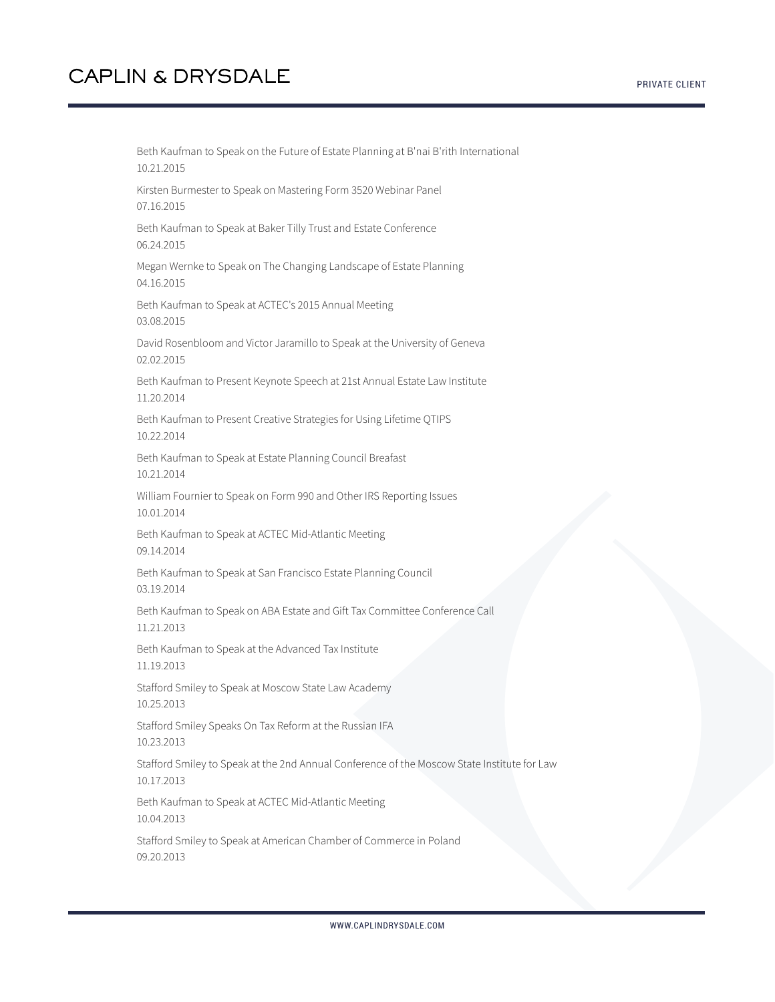Beth Kaufman to Speak on the Future of Estate Planning at B'nai B'rith International 10.21.2015 Kirsten Burmester to Speak on Mastering Form 3520 Webinar Panel 07.16.2015 Beth Kaufman to Speak at Baker Tilly Trust and Estate Conference 06.24.2015 Megan Wernke to Speak on The Changing Landscape of Estate Planning 04.16.2015 Beth Kaufman to Speak at ACTEC's 2015 Annual Meeting 03.08.2015 David Rosenbloom and Victor Jaramillo to Speak at the University of Geneva 02.02.2015 Beth Kaufman to Present Keynote Speech at 21st Annual Estate Law Institute 11.20.2014 Beth Kaufman to Present Creative Strategies for Using Lifetime QTIPS 10.22.2014 Beth Kaufman to Speak at Estate Planning Council Breafast 10.21.2014 William Fournier to Speak on Form 990 and Other IRS Reporting Issues 10.01.2014 Beth Kaufman to Speak at ACTEC Mid-Atlantic Meeting 09.14.2014 Beth Kaufman to Speak at San Francisco Estate Planning Council 03.19.2014 Beth Kaufman to Speak on ABA Estate and Gift Tax Committee Conference Call 11.21.2013 Beth Kaufman to Speak at the Advanced Tax Institute 11.19.2013 Stafford Smiley to Speak at Moscow State Law Academy 10.25.2013 Stafford Smiley Speaks On Tax Reform at the Russian IFA 10.23.2013 Stafford Smiley to Speak at the 2nd Annual Conference of the Moscow State Institute for Law 10.17.2013 Beth Kaufman to Speak at ACTEC Mid-Atlantic Meeting 10.04.2013 Stafford Smiley to Speak at American Chamber of Commerce in Poland

09.20.2013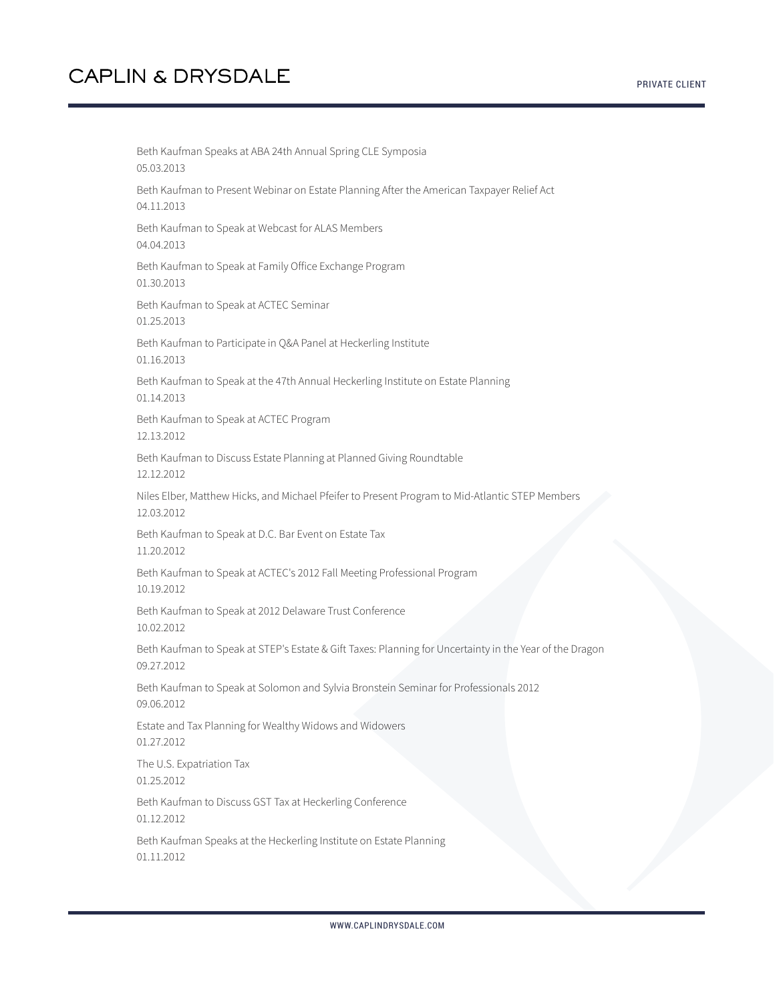PRIVATE CLIENT

Beth Kaufman Speaks at ABA 24th Annual Spring CLE Symposia 05.03.2013 Beth Kaufman to Present Webinar on Estate Planning After the American Taxpayer Relief Act 04.11.2013 Beth Kaufman to Speak at Webcast for ALAS Members 04.04.2013 Beth Kaufman to Speak at Family Office Exchange Program 01.30.2013 Beth Kaufman to Speak at ACTEC Seminar 01.25.2013 Beth Kaufman to Participate in Q&A Panel at Heckerling Institute 01.16.2013 Beth Kaufman to Speak at the 47th Annual Heckerling Institute on Estate Planning 01.14.2013 Beth Kaufman to Speak at ACTEC Program 12.13.2012 Beth Kaufman to Discuss Estate Planning at Planned Giving Roundtable 12.12.2012 Niles Elber, Matthew Hicks, and Michael Pfeifer to Present Program to Mid-Atlantic STEP Members 12.03.2012 Beth Kaufman to Speak at D.C. Bar Event on Estate Tax 11.20.2012 Beth Kaufman to Speak at ACTEC's 2012 Fall Meeting Professional Program 10.19.2012 Beth Kaufman to Speak at 2012 Delaware Trust Conference 10.02.2012 Beth Kaufman to Speak at STEP's Estate & Gift Taxes: Planning for Uncertainty in the Year of the Dragon 09.27.2012 Beth Kaufman to Speak at Solomon and Sylvia Bronstein Seminar for Professionals 2012 09.06.2012 Estate and Tax Planning for Wealthy Widows and Widowers 01.27.2012 The U.S. Expatriation Tax 01.25.2012 Beth Kaufman to Discuss GST Tax at Heckerling Conference 01.12.2012 Beth Kaufman Speaks at the Heckerling Institute on Estate Planning 01.11.2012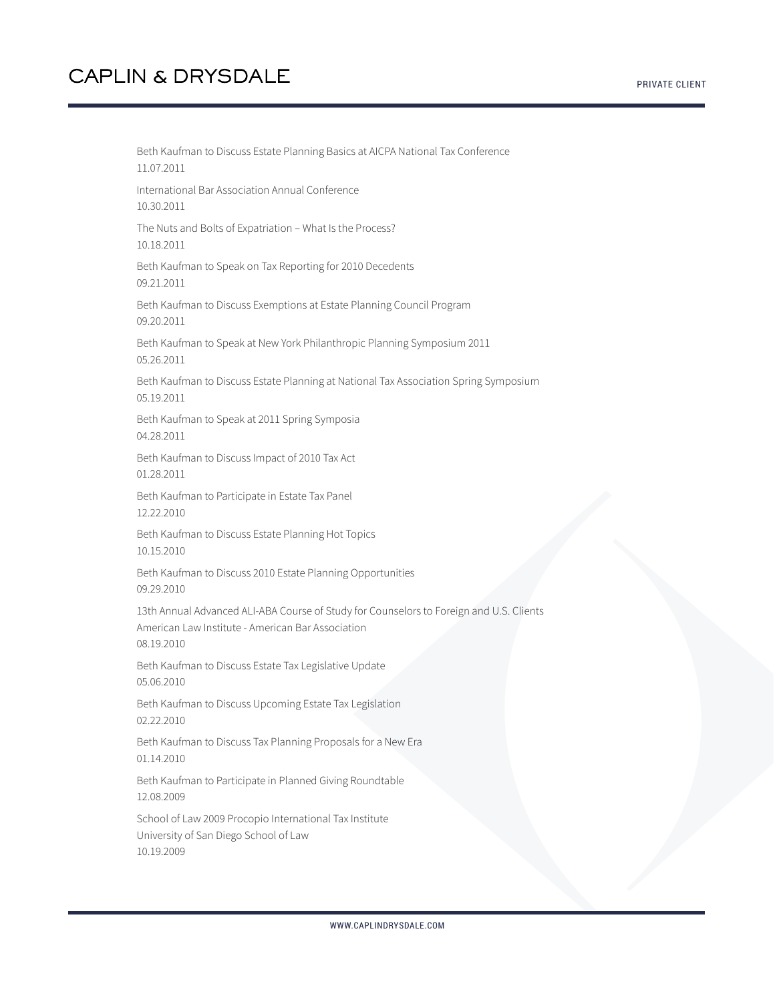Beth Kaufman to Discuss Estate Planning Basics at AICPA National Tax Conference 11.07.2011 International Bar Association Annual Conference 10.30.2011 The Nuts and Bolts of Expatriation – What Is the Process? 10.18.2011 Beth Kaufman to Speak on Tax Reporting for 2010 Decedents 09.21.2011 Beth Kaufman to Discuss Exemptions at Estate Planning Council Program 09.20.2011 Beth Kaufman to Speak at New York Philanthropic Planning Symposium 2011 05.26.2011 Beth Kaufman to Discuss Estate Planning at National Tax Association Spring Symposium 05.19.2011 Beth Kaufman to Speak at 2011 Spring Symposia 04.28.2011 Beth Kaufman to Discuss Impact of 2010 Tax Act 01.28.2011 Beth Kaufman to Participate in Estate Tax Panel 12.22.2010 Beth Kaufman to Discuss Estate Planning Hot Topics 10.15.2010 Beth Kaufman to Discuss 2010 Estate Planning Opportunities 09.29.2010 13th Annual Advanced ALI-ABA Course of Study for Counselors to Foreign and U.S. Clients American Law Institute - American Bar Association 08.19.2010 Beth Kaufman to Discuss Estate Tax Legislative Update 05.06.2010 Beth Kaufman to Discuss Upcoming Estate Tax Legislation 02.22.2010 Beth Kaufman to Discuss Tax Planning Proposals for a New Era 01.14.2010 Beth Kaufman to Participate in Planned Giving Roundtable 12.08.2009 School of Law 2009 Procopio International Tax Institute University of San Diego School of Law

10.19.2009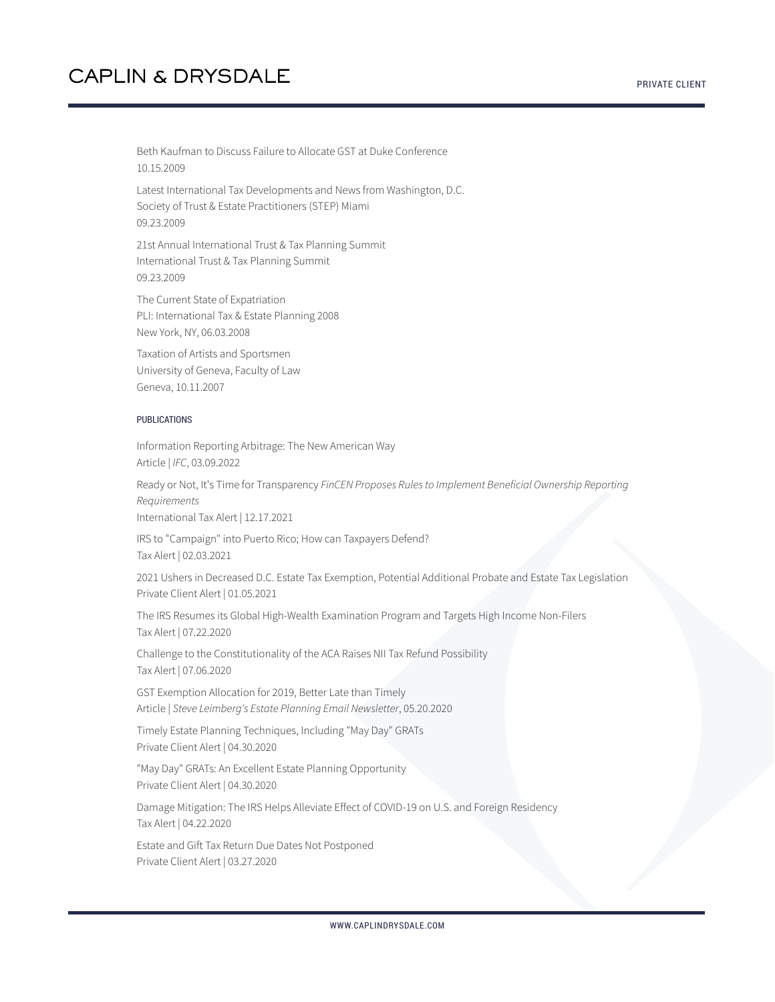Beth Kaufman to Discuss Failure to Allocate GST at Duke Conference 10.15.2009

Latest International Tax Developments and News from Washington, D.C. Society of Trust & Estate Practitioners (STEP) Miami 09.23.2009

21st Annual International Trust & Tax Planning Summit International Trust & Tax Planning Summit 09.23.2009

The Current State of Expatriation PLI: International Tax & Estate Planning 2008 New York, NY, 06.03.2008

Taxation of Artists and Sportsmen University of Geneva, Faculty of Law Geneva, 10.11.2007

#### PUBLICATIONS

Information Reporting Arbitrage: The New American Way Article | *IFC*, 03.09.2022

Ready or Not, It's Time for Transparency *FinCEN Proposes Rules to Implement Beneficial Ownership Reporting Requirements* International Tax Alert | 12.17.2021

IRS to "Campaign" into Puerto Rico; How can Taxpayers Defend? Tax Alert | 02.03.2021

2021 Ushers in Decreased D.C. Estate Tax Exemption, Potential Additional Probate and Estate Tax Legislation Private Client Alert | 01.05.2021

The IRS Resumes its Global High-Wealth Examination Program and Targets High Income Non-Filers Tax Alert | 07.22.2020

Challenge to the Constitutionality of the ACA Raises NII Tax Refund Possibility Tax Alert | 07.06.2020

GST Exemption Allocation for 2019, Better Late than Timely Article | *Steve Leimberg's Estate Planning Email Newsletter*, 05.20.2020

Timely Estate Planning Techniques, Including "May Day" GRATs Private Client Alert | 04.30.2020

"May Day" GRATs: An Excellent Estate Planning Opportunity Private Client Alert | 04.30.2020

Damage Mitigation: The IRS Helps Alleviate Effect of COVID-19 on U.S. and Foreign Residency Tax Alert | 04.22.2020

Estate and Gift Tax Return Due Dates Not Postponed Private Client Alert | 03.27.2020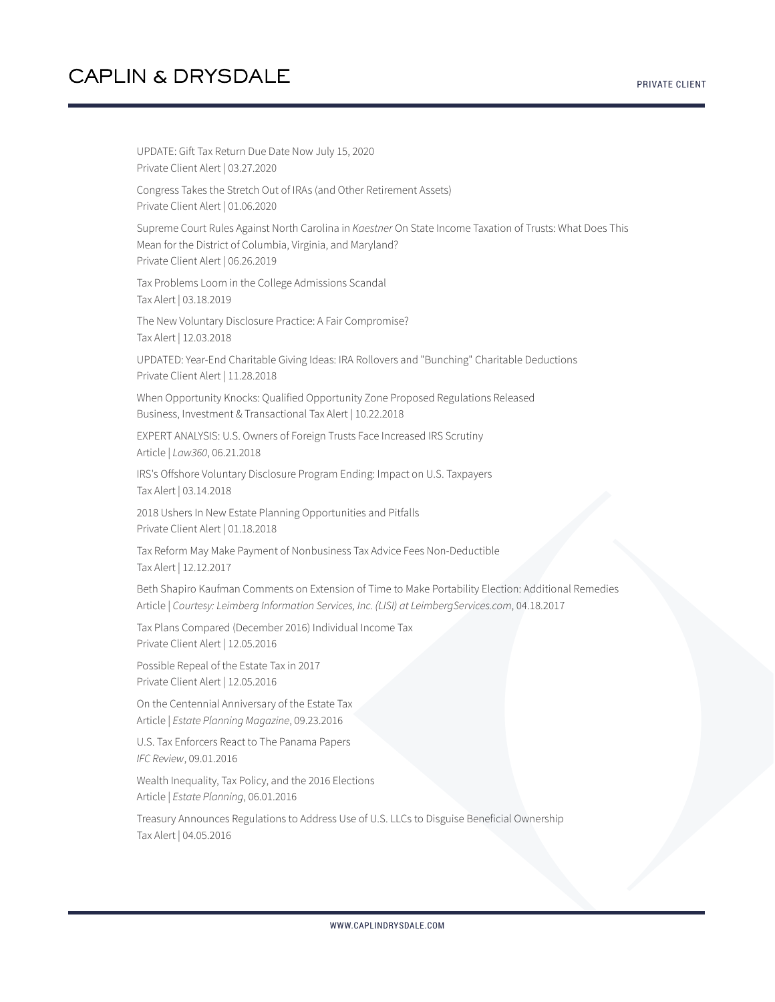UPDATE: Gift Tax Return Due Date Now July 15, 2020 Private Client Alert | 03.27.2020 Congress Takes the Stretch Out of IRAs (and Other Retirement Assets) Private Client Alert | 01.06.2020 Supreme Court Rules Against North Carolina in *Kaestner* On State Income Taxation of Trusts: What Does This Mean for the District of Columbia, Virginia, and Maryland? Private Client Alert | 06.26.2019 Tax Problems Loom in the College Admissions Scandal Tax Alert | 03.18.2019 The New Voluntary Disclosure Practice: A Fair Compromise? Tax Alert | 12.03.2018 UPDATED: Year-End Charitable Giving Ideas: IRA Rollovers and "Bunching" Charitable Deductions Private Client Alert | 11.28.2018 When Opportunity Knocks: Qualified Opportunity Zone Proposed Regulations Released Business, Investment & Transactional Tax Alert | 10.22.2018 EXPERT ANALYSIS: U.S. Owners of Foreign Trusts Face Increased IRS Scrutiny Article | *Law360*, 06.21.2018 IRS's Offshore Voluntary Disclosure Program Ending: Impact on U.S. Taxpayers Tax Alert | 03.14.2018 2018 Ushers In New Estate Planning Opportunities and Pitfalls Private Client Alert | 01.18.2018 Tax Reform May Make Payment of Nonbusiness Tax Advice Fees Non-Deductible Tax Alert | 12.12.2017 Beth Shapiro Kaufman Comments on Extension of Time to Make Portability Election: Additional Remedies Article | *Courtesy: Leimberg Information Services, Inc. (LISI) at LeimbergServices.com*, 04.18.2017 Tax Plans Compared (December 2016) Individual Income Tax Private Client Alert | 12.05.2016 Possible Repeal of the Estate Tax in 2017 Private Client Alert | 12.05.2016 On the Centennial Anniversary of the Estate Tax Article | *Estate Planning Magazine*, 09.23.2016 U.S. Tax Enforcers React to The Panama Papers *IFC Review*, 09.01.2016 Wealth Inequality, Tax Policy, and the 2016 Elections Article | *Estate Planning*, 06.01.2016 Treasury Announces Regulations to Address Use of U.S. LLCs to Disguise Beneficial Ownership Tax Alert | 04.05.2016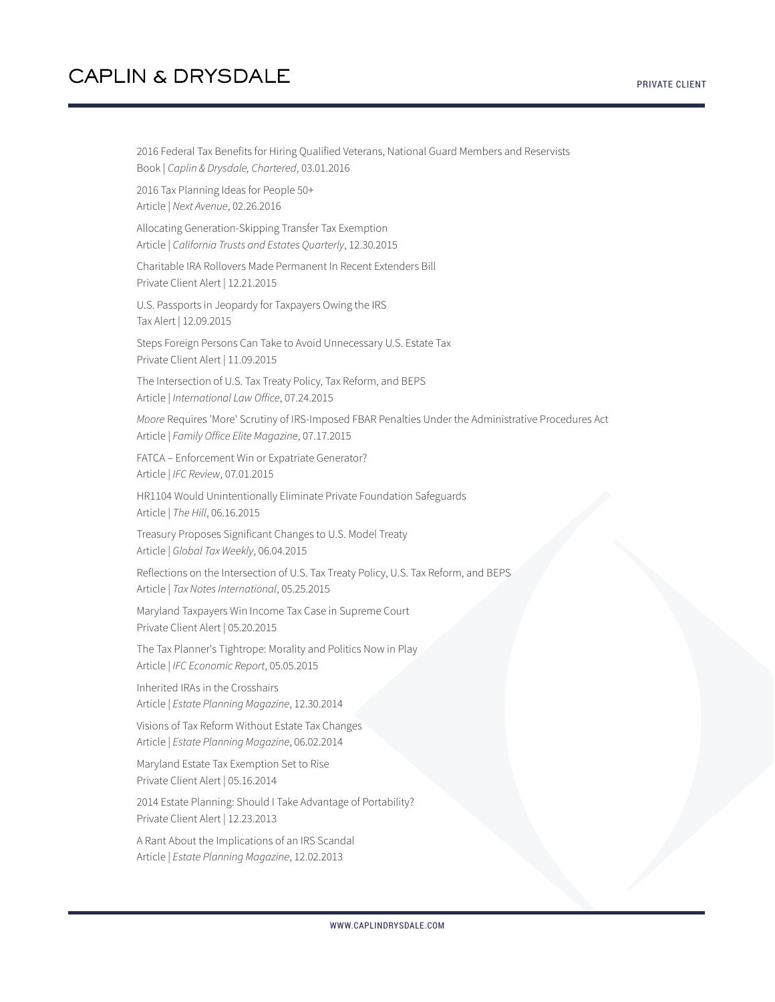2016 Federal Tax Benefits for Hiring Qualified Veterans, National Guard Members and Reservists Book | *Caplin & Drysdale, Chartered*, 03.01.2016

2016 Tax Planning Ideas for People 50+ Article | *Next Avenue*, 02.26.2016

Allocating Generation-Skipping Transfer Tax Exemption Article | *California Trusts and Estates Quarterly*, 12.30.2015

Charitable IRA Rollovers Made Permanent In Recent Extenders Bill Private Client Alert | 12.21.2015

U.S. Passports in Jeopardy for Taxpayers Owing the IRS Tax Alert | 12.09.2015

Steps Foreign Persons Can Take to Avoid Unnecessary U.S. Estate Tax Private Client Alert | 11.09.2015

The Intersection of U.S. Tax Treaty Policy, Tax Reform, and BEPS Article | *International Law Office*, 07.24.2015

*Moore* Requires 'More' Scrutiny of IRS-Imposed FBAR Penalties Under the Administrative Procedures Act Article | *Family Office Elite Magazine*, 07.17.2015

FATCA – Enforcement Win or Expatriate Generator? Article | *IFC Review*, 07.01.2015

HR1104 Would Unintentionally Eliminate Private Foundation Safeguards Article | *The Hill*, 06.16.2015

Treasury Proposes Significant Changes to U.S. Model Treaty Article | *Global Tax Weekly*, 06.04.2015

Reflections on the Intersection of U.S. Tax Treaty Policy, U.S. Tax Reform, and BEPS Article | *Tax Notes International*, 05.25.2015

Maryland Taxpayers Win Income Tax Case in Supreme Court Private Client Alert | 05.20.2015

The Tax Planner's Tightrope: Morality and Politics Now in Play Article | *IFC Economic Report*, 05.05.2015

Inherited IRAs in the Crosshairs Article | *Estate Planning Magazine*, 12.30.2014

Visions of Tax Reform Without Estate Tax Changes Article | *Estate Planning Magazine*, 06.02.2014

Maryland Estate Tax Exemption Set to Rise Private Client Alert | 05.16.2014

2014 Estate Planning: Should I Take Advantage of Portability? Private Client Alert | 12.23.2013

A Rant About the Implications of an IRS Scandal Article | *Estate Planning Magazine*, 12.02.2013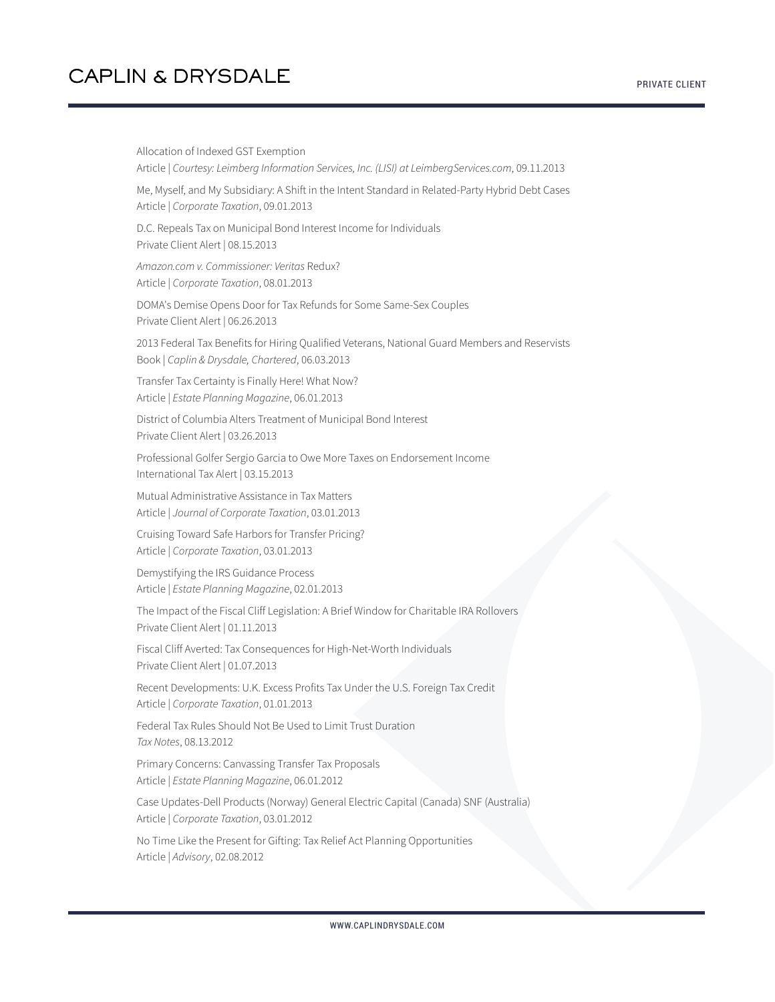Allocation of Indexed GST Exemption Article | *Courtesy: Leimberg Information Services, Inc. (LISI) at LeimbergServices.com*, 09.11.2013 Me, Myself, and My Subsidiary: A Shift in the Intent Standard in Related-Party Hybrid Debt Cases Article | *Corporate Taxation*, 09.01.2013 D.C. Repeals Tax on Municipal Bond Interest Income for Individuals Private Client Alert | 08.15.2013 *Amazon.com v. Commissioner: Veritas* Redux? Article | *Corporate Taxation*, 08.01.2013 DOMA's Demise Opens Door for Tax Refunds for Some Same-Sex Couples Private Client Alert | 06.26.2013 2013 Federal Tax Benefits for Hiring Qualified Veterans, National Guard Members and Reservists Book | *Caplin & Drysdale, Chartered*, 06.03.2013 Transfer Tax Certainty is Finally Here! What Now? Article | *Estate Planning Magazine*, 06.01.2013 District of Columbia Alters Treatment of Municipal Bond Interest Private Client Alert | 03.26.2013 Professional Golfer Sergio Garcia to Owe More Taxes on Endorsement Income International Tax Alert | 03.15.2013 Mutual Administrative Assistance in Tax Matters Article | *Journal of Corporate Taxation*, 03.01.2013 Cruising Toward Safe Harbors for Transfer Pricing? Article | *Corporate Taxation*, 03.01.2013 Demystifying the IRS Guidance Process Article | *Estate Planning Magazine*, 02.01.2013 The Impact of the Fiscal Cliff Legislation: A Brief Window for Charitable IRA Rollovers Private Client Alert | 01.11.2013 Fiscal Cliff Averted: Tax Consequences for High-Net-Worth Individuals Private Client Alert | 01.07.2013 Recent Developments: U.K. Excess Profits Tax Under the U.S. Foreign Tax Credit Article | *Corporate Taxation*, 01.01.2013 Federal Tax Rules Should Not Be Used to Limit Trust Duration *Tax Notes*, 08.13.2012 Primary Concerns: Canvassing Transfer Tax Proposals Article | *Estate Planning Magazine*, 06.01.2012 Case Updates-Dell Products (Norway) General Electric Capital (Canada) SNF (Australia) Article | *Corporate Taxation*, 03.01.2012 No Time Like the Present for Gifting: Tax Relief Act Planning Opportunities Article | *Advisory*, 02.08.2012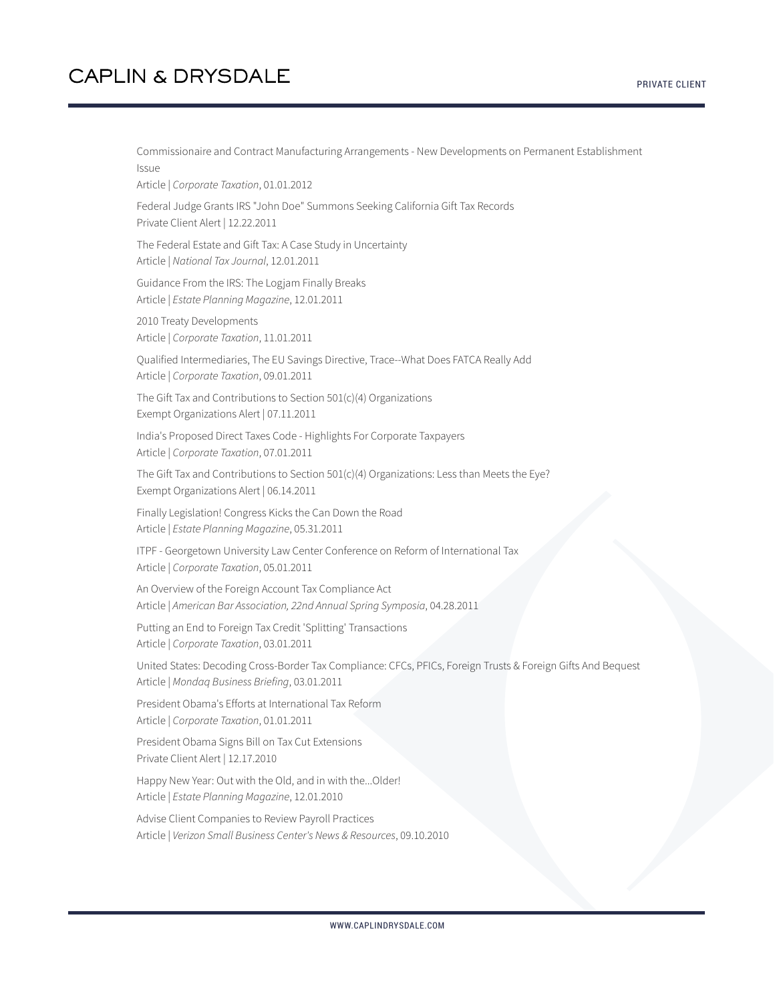Commissionaire and Contract Manufacturing Arrangements - New Developments on Permanent Establishment Issue

Article | *Corporate Taxation*, 01.01.2012

Federal Judge Grants IRS "John Doe" Summons Seeking California Gift Tax Records Private Client Alert | 12.22.2011

The Federal Estate and Gift Tax: A Case Study in Uncertainty Article | *National Tax Journal*, 12.01.2011

Guidance From the IRS: The Logjam Finally Breaks Article | *Estate Planning Magazine*, 12.01.2011

2010 Treaty Developments Article | *Corporate Taxation*, 11.01.2011

Qualified Intermediaries, The EU Savings Directive, Trace--What Does FATCA Really Add Article | *Corporate Taxation*, 09.01.2011

The Gift Tax and Contributions to Section 501(c)(4) Organizations Exempt Organizations Alert | 07.11.2011

India's Proposed Direct Taxes Code - Highlights For Corporate Taxpayers Article | *Corporate Taxation*, 07.01.2011

The Gift Tax and Contributions to Section 501(c)(4) Organizations: Less than Meets the Eye? Exempt Organizations Alert | 06.14.2011

Finally Legislation! Congress Kicks the Can Down the Road Article | *Estate Planning Magazine*, 05.31.2011

ITPF - Georgetown University Law Center Conference on Reform of International Tax Article | *Corporate Taxation*, 05.01.2011

An Overview of the Foreign Account Tax Compliance Act Article | *American Bar Association, 22nd Annual Spring Symposia*, 04.28.2011

Putting an End to Foreign Tax Credit 'Splitting' Transactions Article | *Corporate Taxation*, 03.01.2011

United States: Decoding Cross-Border Tax Compliance: CFCs, PFICs, Foreign Trusts & Foreign Gifts And Bequest Article | *Mondaq Business Briefing*, 03.01.2011

President Obama's Efforts at International Tax Reform Article | *Corporate Taxation*, 01.01.2011

President Obama Signs Bill on Tax Cut Extensions Private Client Alert | 12.17.2010

Happy New Year: Out with the Old, and in with the...Older! Article | *Estate Planning Magazine*, 12.01.2010

Advise Client Companies to Review Payroll Practices Article | *Verizon Small Business Center's News & Resources*, 09.10.2010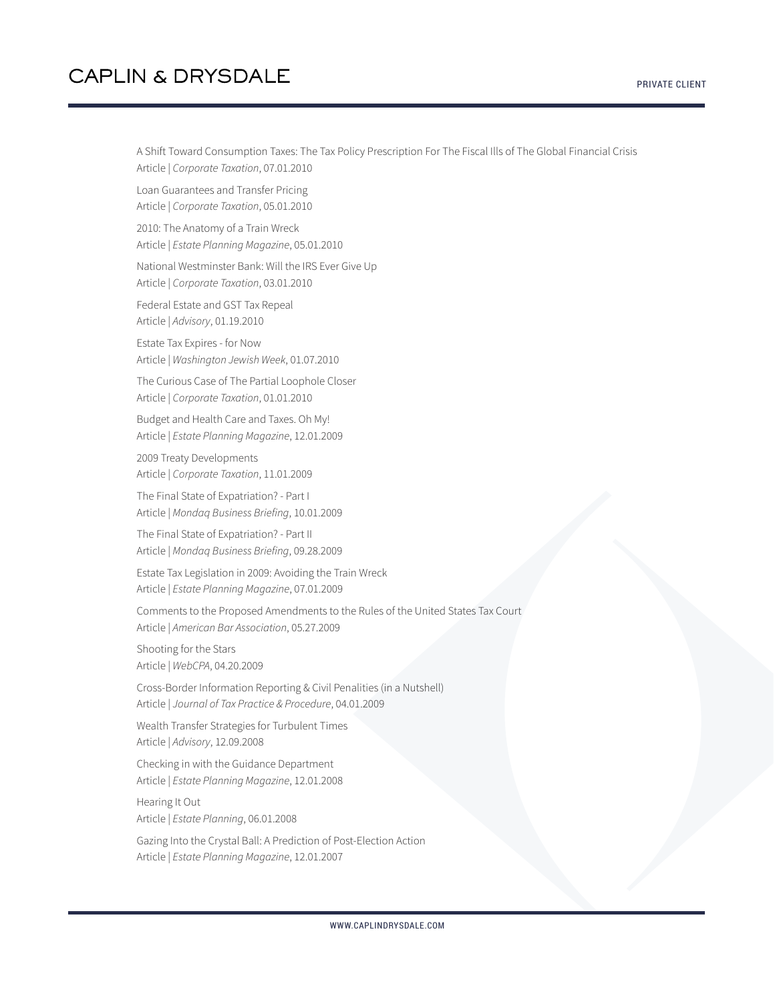A Shift Toward Consumption Taxes: The Tax Policy Prescription For The Fiscal Ills of The Global Financial Crisis Article | *Corporate Taxation*, 07.01.2010

Loan Guarantees and Transfer Pricing Article | *Corporate Taxation*, 05.01.2010

2010: The Anatomy of a Train Wreck Article | *Estate Planning Magazine*, 05.01.2010

National Westminster Bank: Will the IRS Ever Give Up Article | *Corporate Taxation*, 03.01.2010

Federal Estate and GST Tax Repeal Article | *Advisory*, 01.19.2010

Estate Tax Expires - for Now Article | *Washington Jewish Week*, 01.07.2010

The Curious Case of The Partial Loophole Closer Article | *Corporate Taxation*, 01.01.2010

Budget and Health Care and Taxes. Oh My! Article | *Estate Planning Magazine*, 12.01.2009

2009 Treaty Developments Article | *Corporate Taxation*, 11.01.2009

The Final State of Expatriation? - Part I Article | *Mondaq Business Briefing*, 10.01.2009

The Final State of Expatriation? - Part II Article | *Mondaq Business Briefing*, 09.28.2009

Estate Tax Legislation in 2009: Avoiding the Train Wreck Article | *Estate Planning Magazine*, 07.01.2009

Comments to the Proposed Amendments to the Rules of the United States Tax Court Article | *American Bar Association*, 05.27.2009

Shooting for the Stars Article | *WebCPA*, 04.20.2009

Cross-Border Information Reporting & Civil Penalities (in a Nutshell) Article | *Journal of Tax Practice & Procedure*, 04.01.2009

Wealth Transfer Strategies for Turbulent Times Article | *Advisory*, 12.09.2008

Checking in with the Guidance Department Article | *Estate Planning Magazine*, 12.01.2008

Hearing It Out Article | *Estate Planning*, 06.01.2008

Gazing Into the Crystal Ball: A Prediction of Post-Election Action Article | *Estate Planning Magazine*, 12.01.2007